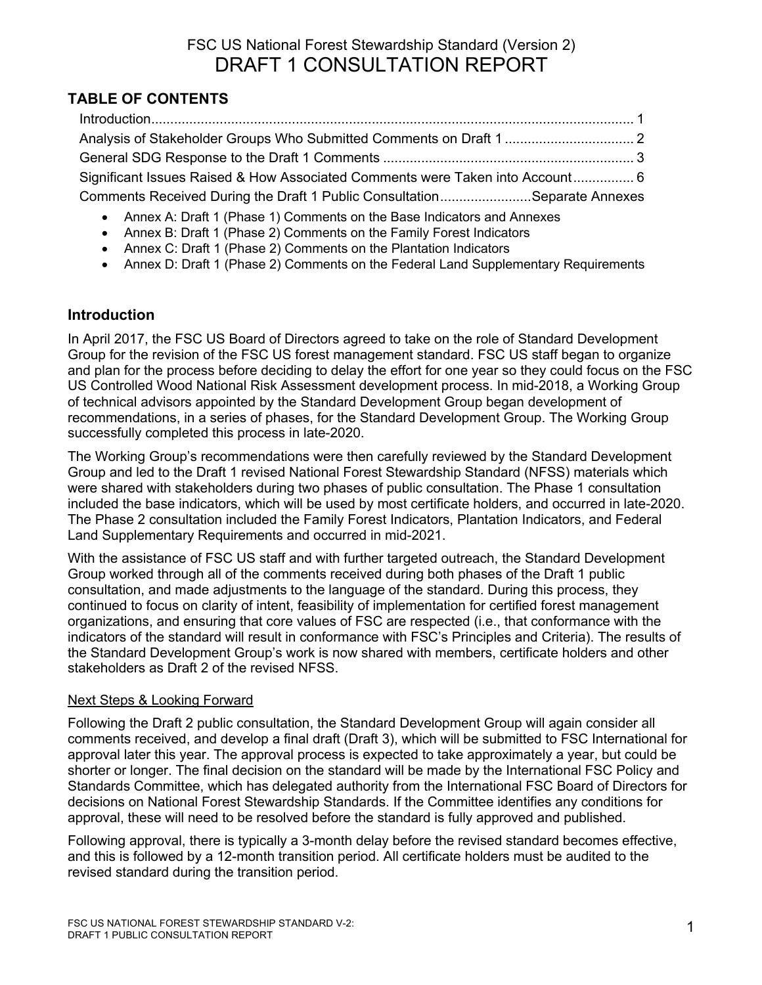# FSC US National Forest Stewardship Standard (Version 2) DRAFT 1 CONSULTATION REPORT

# **TABLE OF CONTENTS**

| Significant Issues Raised & How Associated Comments were Taken into Account 6 |  |
|-------------------------------------------------------------------------------|--|
| Comments Received During the Draft 1 Public ConsultationSeparate Annexes      |  |

- Annex A: Draft 1 (Phase 1) Comments on the Base Indicators and Annexes
- Annex B: Draft 1 (Phase 2) Comments on the Family Forest Indicators
- Annex C: Draft 1 (Phase 2) Comments on the Plantation Indicators
- Annex D: Draft 1 (Phase 2) Comments on the Federal Land Supplementary Requirements

## **Introduction**

In April 2017, the FSC US Board of Directors agreed to take on the role of Standard Development Group for the revision of the FSC US forest management standard. FSC US staff began to organize and plan for the process before deciding to delay the effort for one year so they could focus on the FSC US Controlled Wood National Risk Assessment development process. In mid-2018, a Working Group of technical advisors appointed by the Standard Development Group began development of recommendations, in a series of phases, for the Standard Development Group. The Working Group successfully completed this process in late-2020.

The Working Group's recommendations were then carefully reviewed by the Standard Development Group and led to the Draft 1 revised National Forest Stewardship Standard (NFSS) materials which were shared with stakeholders during two phases of public consultation. The Phase 1 consultation included the base indicators, which will be used by most certificate holders, and occurred in late-2020. The Phase 2 consultation included the Family Forest Indicators, Plantation Indicators, and Federal Land Supplementary Requirements and occurred in mid-2021.

With the assistance of FSC US staff and with further targeted outreach, the Standard Development Group worked through all of the comments received during both phases of the Draft 1 public consultation, and made adjustments to the language of the standard. During this process, they continued to focus on clarity of intent, feasibility of implementation for certified forest management organizations, and ensuring that core values of FSC are respected (i.e., that conformance with the indicators of the standard will result in conformance with FSC's Principles and Criteria). The results of the Standard Development Group's work is now shared with members, certificate holders and other stakeholders as Draft 2 of the revised NFSS.

## Next Steps & Looking Forward

Following the Draft 2 public consultation, the Standard Development Group will again consider all comments received, and develop a final draft (Draft 3), which will be submitted to FSC International for approval later this year. The approval process is expected to take approximately a year, but could be shorter or longer. The final decision on the standard will be made by the International FSC Policy and Standards Committee, which has delegated authority from the International FSC Board of Directors for decisions on National Forest Stewardship Standards. If the Committee identifies any conditions for approval, these will need to be resolved before the standard is fully approved and published.

Following approval, there is typically a 3-month delay before the revised standard becomes effective, and this is followed by a 12-month transition period. All certificate holders must be audited to the revised standard during the transition period.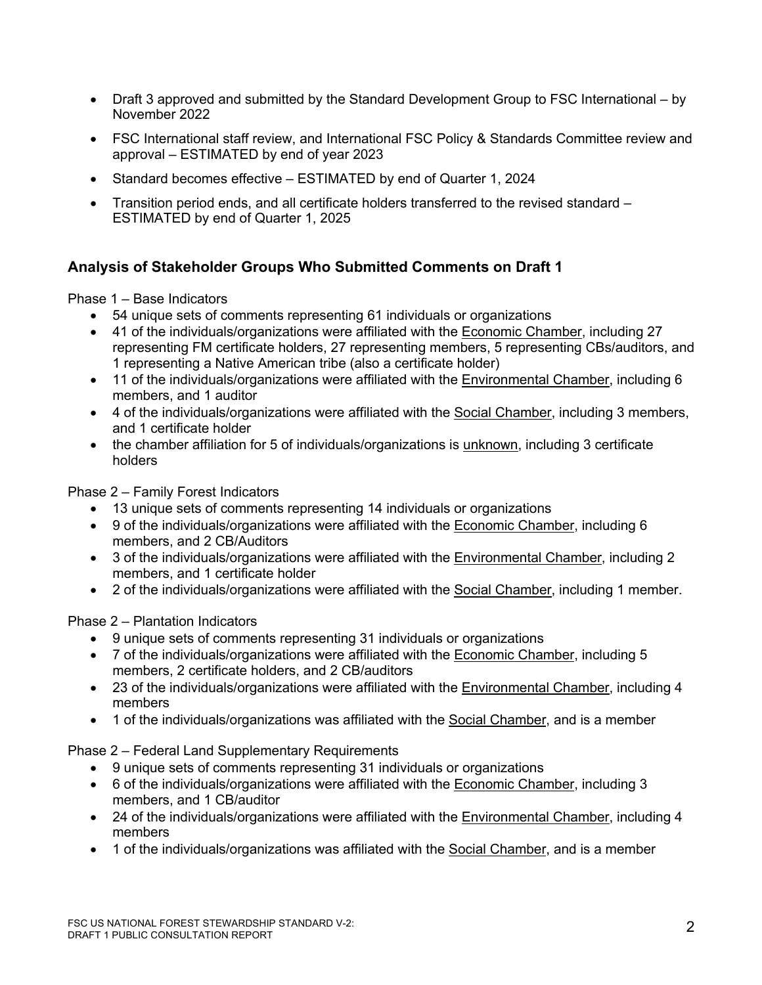- Draft 3 approved and submitted by the Standard Development Group to FSC International by November 2022
- FSC International staff review, and International FSC Policy & Standards Committee review and approval – ESTIMATED by end of year 2023
- Standard becomes effective ESTIMATED by end of Quarter 1, 2024
- Transition period ends, and all certificate holders transferred to the revised standard ESTIMATED by end of Quarter 1, 2025

## **Analysis of Stakeholder Groups Who Submitted Comments on Draft 1**

Phase 1 – Base Indicators

- 54 unique sets of comments representing 61 individuals or organizations
- 41 of the individuals/organizations were affiliated with the Economic Chamber, including 27 representing FM certificate holders, 27 representing members, 5 representing CBs/auditors, and 1 representing a Native American tribe (also a certificate holder)
- 11 of the individuals/organizations were affiliated with the Environmental Chamber, including 6 members, and 1 auditor
- 4 of the individuals/organizations were affiliated with the Social Chamber, including 3 members, and 1 certificate holder
- the chamber affiliation for 5 of individuals/organizations is unknown, including 3 certificate holders

Phase 2 – Family Forest Indicators

- 13 unique sets of comments representing 14 individuals or organizations
- 9 of the individuals/organizations were affiliated with the Economic Chamber, including 6 members, and 2 CB/Auditors
- 3 of the individuals/organizations were affiliated with the Environmental Chamber, including 2 members, and 1 certificate holder
- 2 of the individuals/organizations were affiliated with the Social Chamber, including 1 member.

Phase 2 – Plantation Indicators

- 9 unique sets of comments representing 31 individuals or organizations
- 7 of the individuals/organizations were affiliated with the Economic Chamber, including 5 members, 2 certificate holders, and 2 CB/auditors
- 23 of the individuals/organizations were affiliated with the Environmental Chamber, including 4 members
- 1 of the individuals/organizations was affiliated with the Social Chamber, and is a member

Phase 2 – Federal Land Supplementary Requirements

- 9 unique sets of comments representing 31 individuals or organizations
- 6 of the individuals/organizations were affiliated with the Economic Chamber, including 3 members, and 1 CB/auditor
- 24 of the individuals/organizations were affiliated with the Environmental Chamber, including 4 members
- 1 of the individuals/organizations was affiliated with the Social Chamber, and is a member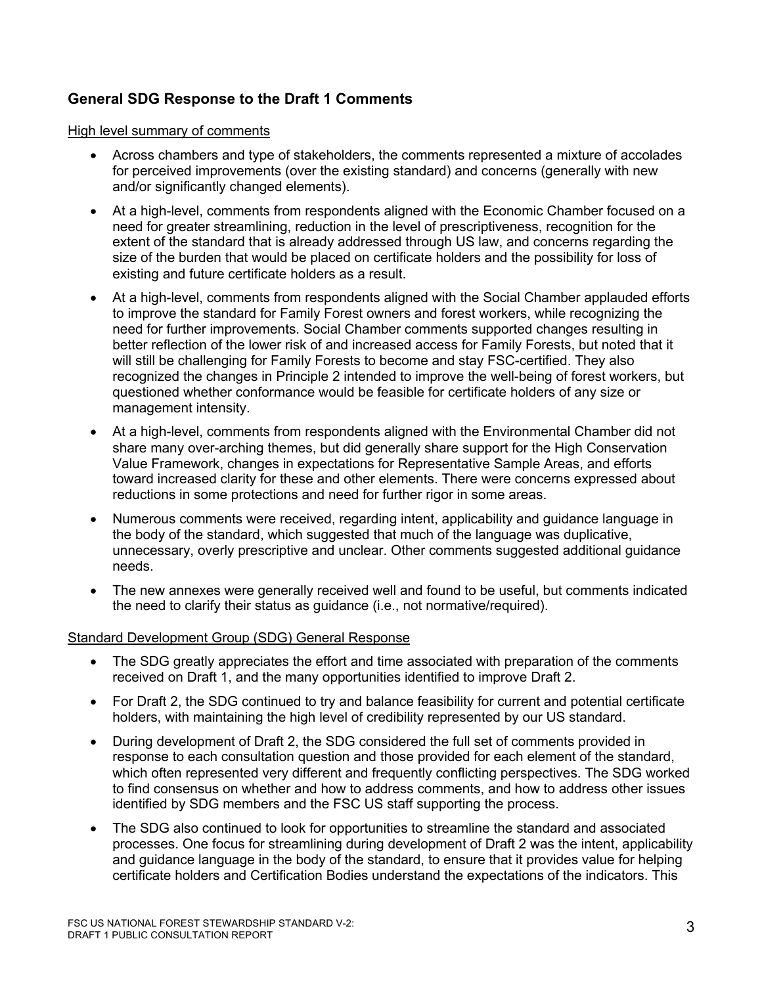# **General SDG Response to the Draft 1 Comments**

High level summary of comments

- Across chambers and type of stakeholders, the comments represented a mixture of accolades for perceived improvements (over the existing standard) and concerns (generally with new and/or significantly changed elements).
- At a high-level, comments from respondents aligned with the Economic Chamber focused on a need for greater streamlining, reduction in the level of prescriptiveness, recognition for the extent of the standard that is already addressed through US law, and concerns regarding the size of the burden that would be placed on certificate holders and the possibility for loss of existing and future certificate holders as a result.
- At a high-level, comments from respondents aligned with the Social Chamber applauded efforts to improve the standard for Family Forest owners and forest workers, while recognizing the need for further improvements. Social Chamber comments supported changes resulting in better reflection of the lower risk of and increased access for Family Forests, but noted that it will still be challenging for Family Forests to become and stay FSC-certified. They also recognized the changes in Principle 2 intended to improve the well-being of forest workers, but questioned whether conformance would be feasible for certificate holders of any size or management intensity.
- At a high-level, comments from respondents aligned with the Environmental Chamber did not share many over-arching themes, but did generally share support for the High Conservation Value Framework, changes in expectations for Representative Sample Areas, and efforts toward increased clarity for these and other elements. There were concerns expressed about reductions in some protections and need for further rigor in some areas.
- Numerous comments were received, regarding intent, applicability and guidance language in the body of the standard, which suggested that much of the language was duplicative, unnecessary, overly prescriptive and unclear. Other comments suggested additional guidance needs.
- The new annexes were generally received well and found to be useful, but comments indicated the need to clarify their status as guidance (i.e., not normative/required).

## Standard Development Group (SDG) General Response

- The SDG greatly appreciates the effort and time associated with preparation of the comments received on Draft 1, and the many opportunities identified to improve Draft 2.
- For Draft 2, the SDG continued to try and balance feasibility for current and potential certificate holders, with maintaining the high level of credibility represented by our US standard.
- During development of Draft 2, the SDG considered the full set of comments provided in response to each consultation question and those provided for each element of the standard, which often represented very different and frequently conflicting perspectives. The SDG worked to find consensus on whether and how to address comments, and how to address other issues identified by SDG members and the FSC US staff supporting the process.
- The SDG also continued to look for opportunities to streamline the standard and associated processes. One focus for streamlining during development of Draft 2 was the intent, applicability and guidance language in the body of the standard, to ensure that it provides value for helping certificate holders and Certification Bodies understand the expectations of the indicators. This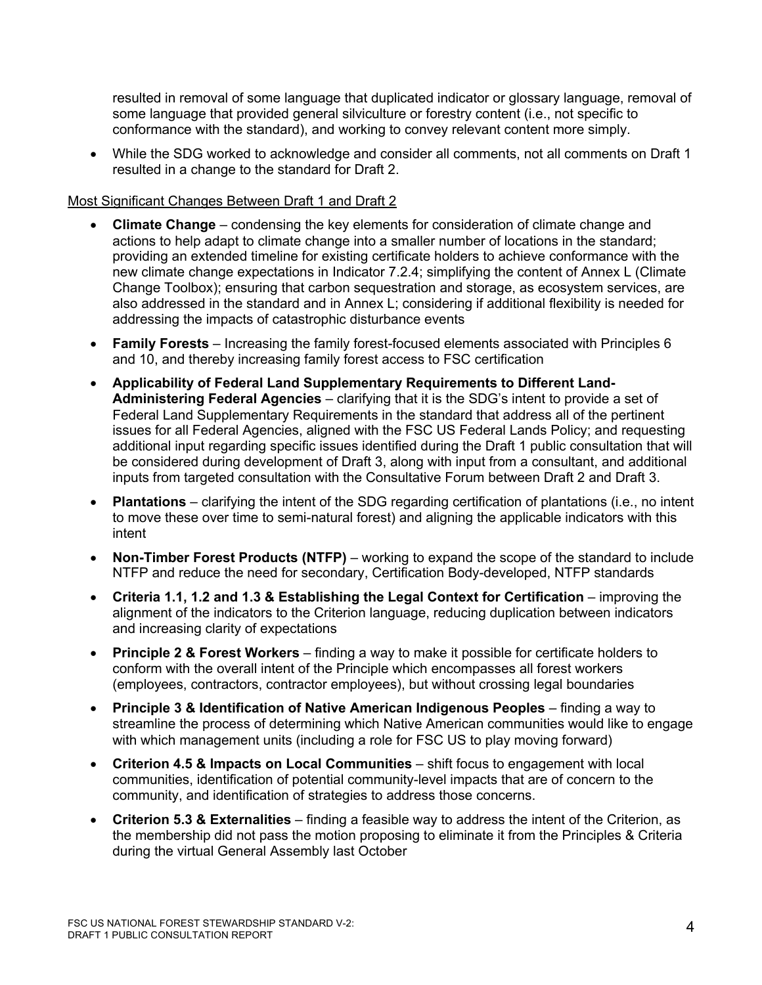resulted in removal of some language that duplicated indicator or glossary language, removal of some language that provided general silviculture or forestry content (i.e., not specific to conformance with the standard), and working to convey relevant content more simply.

• While the SDG worked to acknowledge and consider all comments, not all comments on Draft 1 resulted in a change to the standard for Draft 2.

## Most Significant Changes Between Draft 1 and Draft 2

- **Climate Change** condensing the key elements for consideration of climate change and actions to help adapt to climate change into a smaller number of locations in the standard; providing an extended timeline for existing certificate holders to achieve conformance with the new climate change expectations in Indicator 7.2.4; simplifying the content of Annex L (Climate Change Toolbox); ensuring that carbon sequestration and storage, as ecosystem services, are also addressed in the standard and in Annex L; considering if additional flexibility is needed for addressing the impacts of catastrophic disturbance events
- **Family Forests** Increasing the family forest-focused elements associated with Principles 6 and 10, and thereby increasing family forest access to FSC certification
- **Applicability of Federal Land Supplementary Requirements to Different Land-Administering Federal Agencies** – clarifying that it is the SDG's intent to provide a set of Federal Land Supplementary Requirements in the standard that address all of the pertinent issues for all Federal Agencies, aligned with the FSC US Federal Lands Policy; and requesting additional input regarding specific issues identified during the Draft 1 public consultation that will be considered during development of Draft 3, along with input from a consultant, and additional inputs from targeted consultation with the Consultative Forum between Draft 2 and Draft 3.
- **Plantations** clarifying the intent of the SDG regarding certification of plantations (i.e., no intent to move these over time to semi-natural forest) and aligning the applicable indicators with this intent
- **Non-Timber Forest Products (NTFP)** working to expand the scope of the standard to include NTFP and reduce the need for secondary, Certification Body-developed, NTFP standards
- **Criteria 1.1, 1.2 and 1.3 & Establishing the Legal Context for Certification** improving the alignment of the indicators to the Criterion language, reducing duplication between indicators and increasing clarity of expectations
- **Principle 2 & Forest Workers** finding a way to make it possible for certificate holders to conform with the overall intent of the Principle which encompasses all forest workers (employees, contractors, contractor employees), but without crossing legal boundaries
- **Principle 3 & Identification of Native American Indigenous Peoples** finding a way to streamline the process of determining which Native American communities would like to engage with which management units (including a role for FSC US to play moving forward)
- **Criterion 4.5 & Impacts on Local Communities** shift focus to engagement with local communities, identification of potential community-level impacts that are of concern to the community, and identification of strategies to address those concerns.
- **Criterion 5.3 & Externalities** finding a feasible way to address the intent of the Criterion, as the membership did not pass the motion proposing to eliminate it from the Principles & Criteria during the virtual General Assembly last October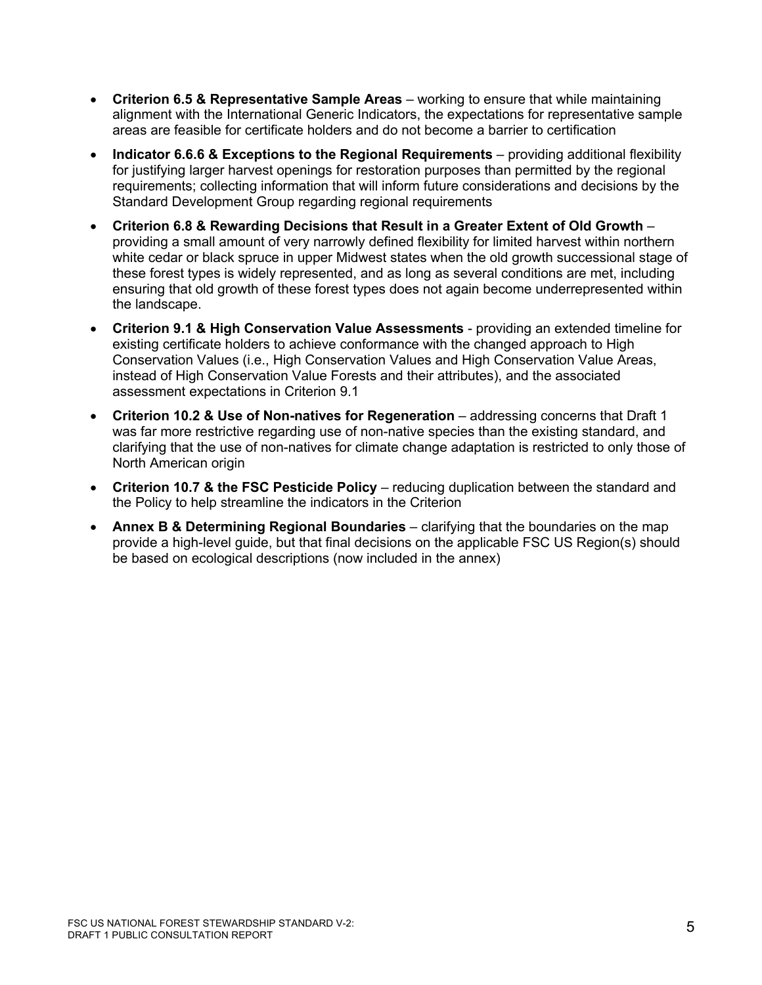- **Criterion 6.5 & Representative Sample Areas** working to ensure that while maintaining alignment with the International Generic Indicators, the expectations for representative sample areas are feasible for certificate holders and do not become a barrier to certification
- **Indicator 6.6.6 & Exceptions to the Regional Requirements** providing additional flexibility for justifying larger harvest openings for restoration purposes than permitted by the regional requirements; collecting information that will inform future considerations and decisions by the Standard Development Group regarding regional requirements
- **Criterion 6.8 & Rewarding Decisions that Result in a Greater Extent of Old Growth** providing a small amount of very narrowly defined flexibility for limited harvest within northern white cedar or black spruce in upper Midwest states when the old growth successional stage of these forest types is widely represented, and as long as several conditions are met, including ensuring that old growth of these forest types does not again become underrepresented within the landscape.
- **Criterion 9.1 & High Conservation Value Assessments** providing an extended timeline for existing certificate holders to achieve conformance with the changed approach to High Conservation Values (i.e., High Conservation Values and High Conservation Value Areas, instead of High Conservation Value Forests and their attributes), and the associated assessment expectations in Criterion 9.1
- **Criterion 10.2 & Use of Non-natives for Regeneration** addressing concerns that Draft 1 was far more restrictive regarding use of non-native species than the existing standard, and clarifying that the use of non-natives for climate change adaptation is restricted to only those of North American origin
- **Criterion 10.7 & the FSC Pesticide Policy** reducing duplication between the standard and the Policy to help streamline the indicators in the Criterion
- **Annex B & Determining Regional Boundaries** clarifying that the boundaries on the map provide a high-level guide, but that final decisions on the applicable FSC US Region(s) should be based on ecological descriptions (now included in the annex)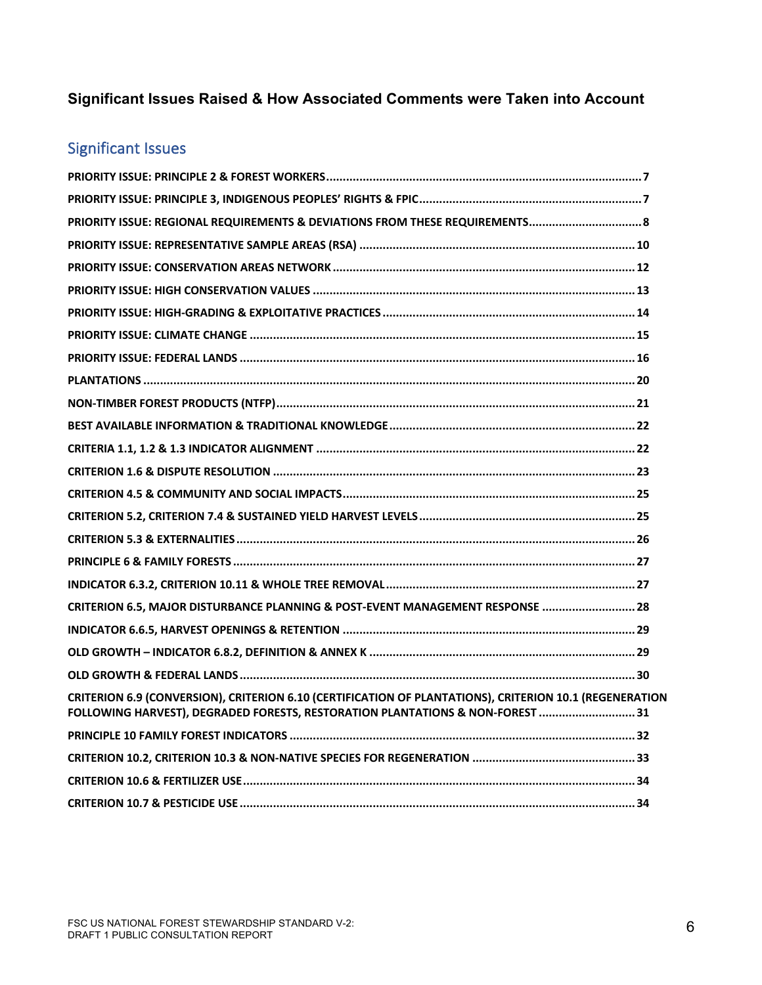# **Significant Issues Raised & How Associated Comments were Taken into Account**

# Significant Issues

| PRIORITY ISSUE: REGIONAL REQUIREMENTS & DEVIATIONS FROM THESE REQUIREMENTS 8                                                                                                              |
|-------------------------------------------------------------------------------------------------------------------------------------------------------------------------------------------|
|                                                                                                                                                                                           |
|                                                                                                                                                                                           |
|                                                                                                                                                                                           |
|                                                                                                                                                                                           |
|                                                                                                                                                                                           |
|                                                                                                                                                                                           |
|                                                                                                                                                                                           |
|                                                                                                                                                                                           |
|                                                                                                                                                                                           |
|                                                                                                                                                                                           |
|                                                                                                                                                                                           |
|                                                                                                                                                                                           |
|                                                                                                                                                                                           |
|                                                                                                                                                                                           |
|                                                                                                                                                                                           |
|                                                                                                                                                                                           |
| CRITERION 6.5, MAJOR DISTURBANCE PLANNING & POST-EVENT MANAGEMENT RESPONSE  28                                                                                                            |
|                                                                                                                                                                                           |
|                                                                                                                                                                                           |
|                                                                                                                                                                                           |
| CRITERION 6.9 (CONVERSION), CRITERION 6.10 (CERTIFICATION OF PLANTATIONS), CRITERION 10.1 (REGENERATION<br>FOLLOWING HARVEST), DEGRADED FORESTS, RESTORATION PLANTATIONS & NON-FOREST  31 |
|                                                                                                                                                                                           |
|                                                                                                                                                                                           |
|                                                                                                                                                                                           |
|                                                                                                                                                                                           |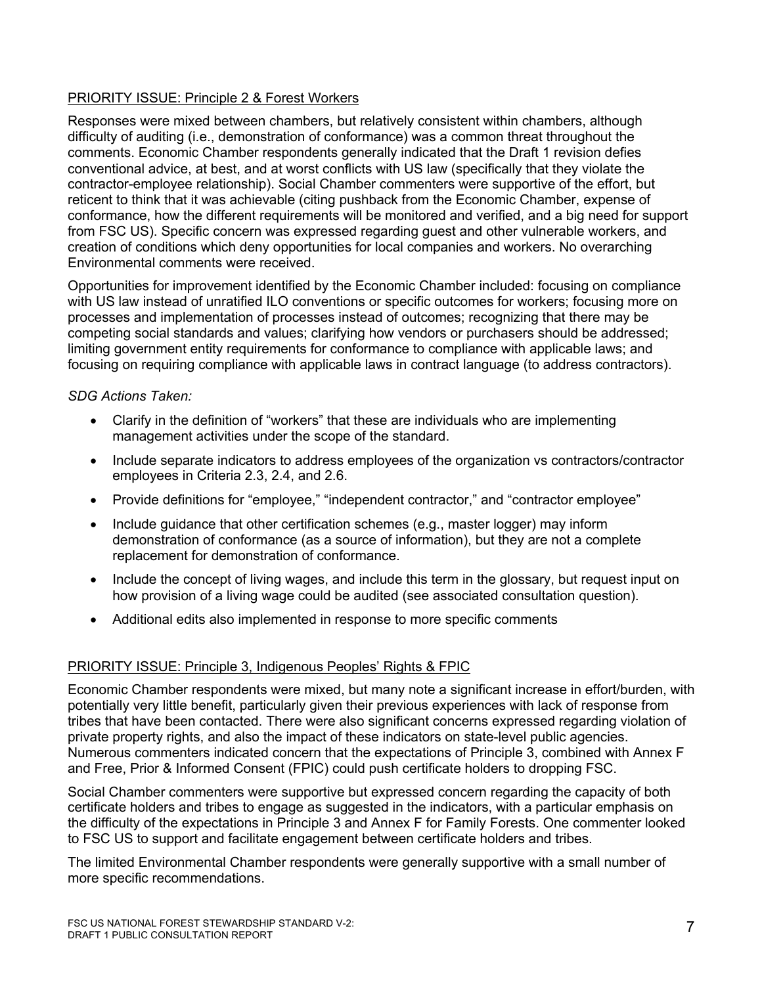## PRIORITY ISSUE: Principle 2 & Forest Workers

Responses were mixed between chambers, but relatively consistent within chambers, although difficulty of auditing (i.e., demonstration of conformance) was a common threat throughout the comments. Economic Chamber respondents generally indicated that the Draft 1 revision defies conventional advice, at best, and at worst conflicts with US law (specifically that they violate the contractor-employee relationship). Social Chamber commenters were supportive of the effort, but reticent to think that it was achievable (citing pushback from the Economic Chamber, expense of conformance, how the different requirements will be monitored and verified, and a big need for support from FSC US). Specific concern was expressed regarding guest and other vulnerable workers, and creation of conditions which deny opportunities for local companies and workers. No overarching Environmental comments were received.

Opportunities for improvement identified by the Economic Chamber included: focusing on compliance with US law instead of unratified ILO conventions or specific outcomes for workers; focusing more on processes and implementation of processes instead of outcomes; recognizing that there may be competing social standards and values; clarifying how vendors or purchasers should be addressed; limiting government entity requirements for conformance to compliance with applicable laws; and focusing on requiring compliance with applicable laws in contract language (to address contractors).

## *SDG Actions Taken:*

- Clarify in the definition of "workers" that these are individuals who are implementing management activities under the scope of the standard.
- Include separate indicators to address employees of the organization vs contractors/contractor employees in Criteria 2.3, 2.4, and 2.6.
- Provide definitions for "employee," "independent contractor," and "contractor employee"
- Include guidance that other certification schemes (e.g., master logger) may inform demonstration of conformance (as a source of information), but they are not a complete replacement for demonstration of conformance.
- Include the concept of living wages, and include this term in the glossary, but request input on how provision of a living wage could be audited (see associated consultation question).
- Additional edits also implemented in response to more specific comments

## PRIORITY ISSUE: Principle 3, Indigenous Peoples' Rights & FPIC

Economic Chamber respondents were mixed, but many note a significant increase in effort/burden, with potentially very little benefit, particularly given their previous experiences with lack of response from tribes that have been contacted. There were also significant concerns expressed regarding violation of private property rights, and also the impact of these indicators on state-level public agencies. Numerous commenters indicated concern that the expectations of Principle 3, combined with Annex F and Free, Prior & Informed Consent (FPIC) could push certificate holders to dropping FSC.

Social Chamber commenters were supportive but expressed concern regarding the capacity of both certificate holders and tribes to engage as suggested in the indicators, with a particular emphasis on the difficulty of the expectations in Principle 3 and Annex F for Family Forests. One commenter looked to FSC US to support and facilitate engagement between certificate holders and tribes.

The limited Environmental Chamber respondents were generally supportive with a small number of more specific recommendations.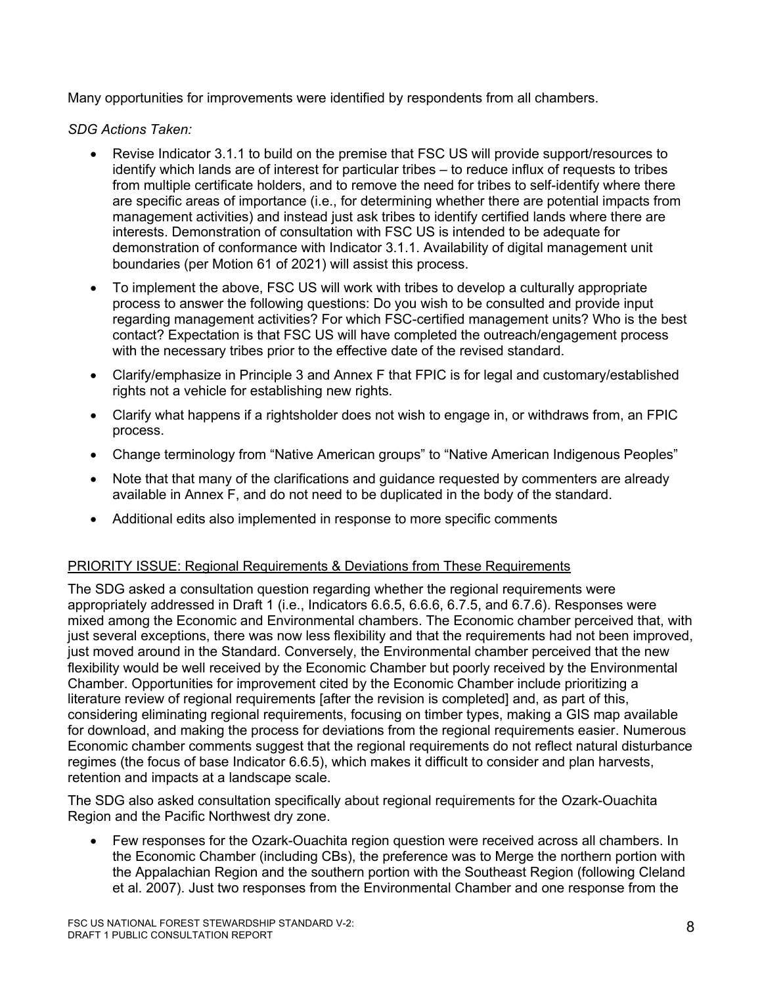Many opportunities for improvements were identified by respondents from all chambers.

*SDG Actions Taken:*

- Revise Indicator 3.1.1 to build on the premise that FSC US will provide support/resources to identify which lands are of interest for particular tribes – to reduce influx of requests to tribes from multiple certificate holders, and to remove the need for tribes to self-identify where there are specific areas of importance (i.e., for determining whether there are potential impacts from management activities) and instead just ask tribes to identify certified lands where there are interests. Demonstration of consultation with FSC US is intended to be adequate for demonstration of conformance with Indicator 3.1.1. Availability of digital management unit boundaries (per Motion 61 of 2021) will assist this process.
- To implement the above, FSC US will work with tribes to develop a culturally appropriate process to answer the following questions: Do you wish to be consulted and provide input regarding management activities? For which FSC-certified management units? Who is the best contact? Expectation is that FSC US will have completed the outreach/engagement process with the necessary tribes prior to the effective date of the revised standard.
- Clarify/emphasize in Principle 3 and Annex F that FPIC is for legal and customary/established rights not a vehicle for establishing new rights.
- Clarify what happens if a rightsholder does not wish to engage in, or withdraws from, an FPIC process.
- Change terminology from "Native American groups" to "Native American Indigenous Peoples"
- Note that that many of the clarifications and quidance requested by commenters are already available in Annex F, and do not need to be duplicated in the body of the standard.
- Additional edits also implemented in response to more specific comments

## PRIORITY ISSUE: Regional Requirements & Deviations from These Requirements

The SDG asked a consultation question regarding whether the regional requirements were appropriately addressed in Draft 1 (i.e., Indicators 6.6.5, 6.6.6, 6.7.5, and 6.7.6). Responses were mixed among the Economic and Environmental chambers. The Economic chamber perceived that, with just several exceptions, there was now less flexibility and that the requirements had not been improved, just moved around in the Standard. Conversely, the Environmental chamber perceived that the new flexibility would be well received by the Economic Chamber but poorly received by the Environmental Chamber. Opportunities for improvement cited by the Economic Chamber include prioritizing a literature review of regional requirements [after the revision is completed] and, as part of this, considering eliminating regional requirements, focusing on timber types, making a GIS map available for download, and making the process for deviations from the regional requirements easier. Numerous Economic chamber comments suggest that the regional requirements do not reflect natural disturbance regimes (the focus of base Indicator 6.6.5), which makes it difficult to consider and plan harvests, retention and impacts at a landscape scale.

The SDG also asked consultation specifically about regional requirements for the Ozark-Ouachita Region and the Pacific Northwest dry zone.

• Few responses for the Ozark-Ouachita region question were received across all chambers. In the Economic Chamber (including CBs), the preference was to Merge the northern portion with the Appalachian Region and the southern portion with the Southeast Region (following Cleland et al. 2007). Just two responses from the Environmental Chamber and one response from the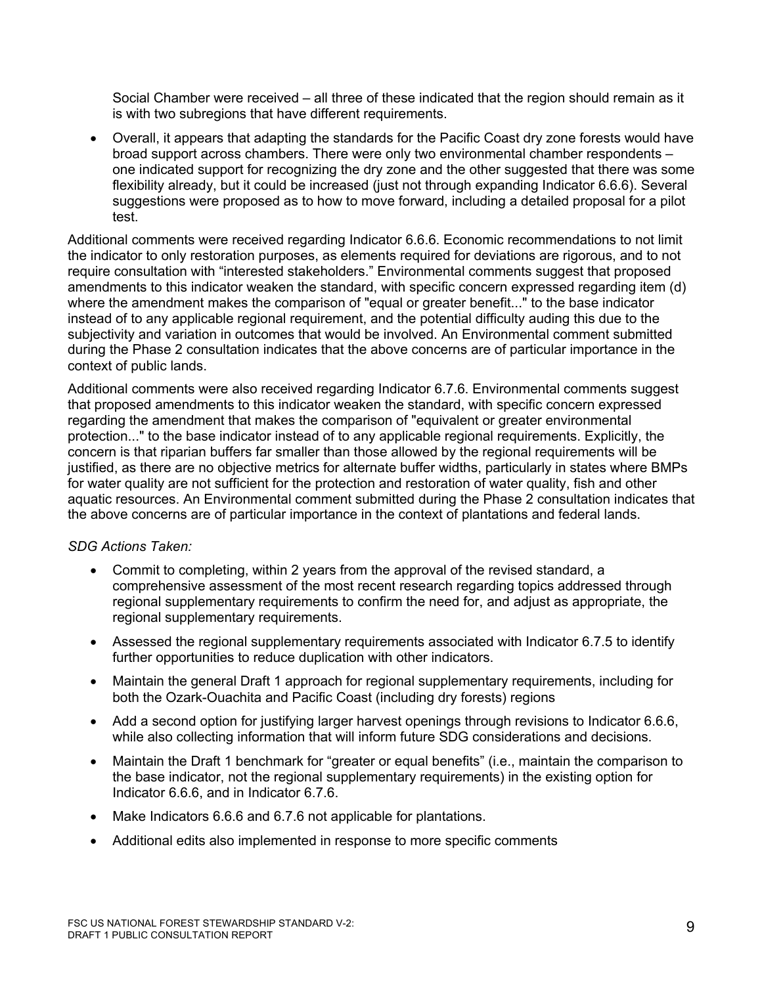Social Chamber were received – all three of these indicated that the region should remain as it is with two subregions that have different requirements.

• Overall, it appears that adapting the standards for the Pacific Coast dry zone forests would have broad support across chambers. There were only two environmental chamber respondents – one indicated support for recognizing the dry zone and the other suggested that there was some flexibility already, but it could be increased (just not through expanding Indicator 6.6.6). Several suggestions were proposed as to how to move forward, including a detailed proposal for a pilot test.

Additional comments were received regarding Indicator 6.6.6. Economic recommendations to not limit the indicator to only restoration purposes, as elements required for deviations are rigorous, and to not require consultation with "interested stakeholders." Environmental comments suggest that proposed amendments to this indicator weaken the standard, with specific concern expressed regarding item (d) where the amendment makes the comparison of "equal or greater benefit..." to the base indicator instead of to any applicable regional requirement, and the potential difficulty auding this due to the subjectivity and variation in outcomes that would be involved. An Environmental comment submitted during the Phase 2 consultation indicates that the above concerns are of particular importance in the context of public lands.

Additional comments were also received regarding Indicator 6.7.6. Environmental comments suggest that proposed amendments to this indicator weaken the standard, with specific concern expressed regarding the amendment that makes the comparison of "equivalent or greater environmental protection..." to the base indicator instead of to any applicable regional requirements. Explicitly, the concern is that riparian buffers far smaller than those allowed by the regional requirements will be justified, as there are no objective metrics for alternate buffer widths, particularly in states where BMPs for water quality are not sufficient for the protection and restoration of water quality, fish and other aquatic resources. An Environmental comment submitted during the Phase 2 consultation indicates that the above concerns are of particular importance in the context of plantations and federal lands.

- Commit to completing, within 2 years from the approval of the revised standard, a comprehensive assessment of the most recent research regarding topics addressed through regional supplementary requirements to confirm the need for, and adjust as appropriate, the regional supplementary requirements.
- Assessed the regional supplementary requirements associated with Indicator 6.7.5 to identify further opportunities to reduce duplication with other indicators.
- Maintain the general Draft 1 approach for regional supplementary requirements, including for both the Ozark-Ouachita and Pacific Coast (including dry forests) regions
- Add a second option for justifying larger harvest openings through revisions to Indicator 6.6.6, while also collecting information that will inform future SDG considerations and decisions.
- Maintain the Draft 1 benchmark for "greater or equal benefits" (i.e., maintain the comparison to the base indicator, not the regional supplementary requirements) in the existing option for Indicator 6.6.6, and in Indicator 6.7.6.
- Make Indicators 6.6.6 and 6.7.6 not applicable for plantations.
- Additional edits also implemented in response to more specific comments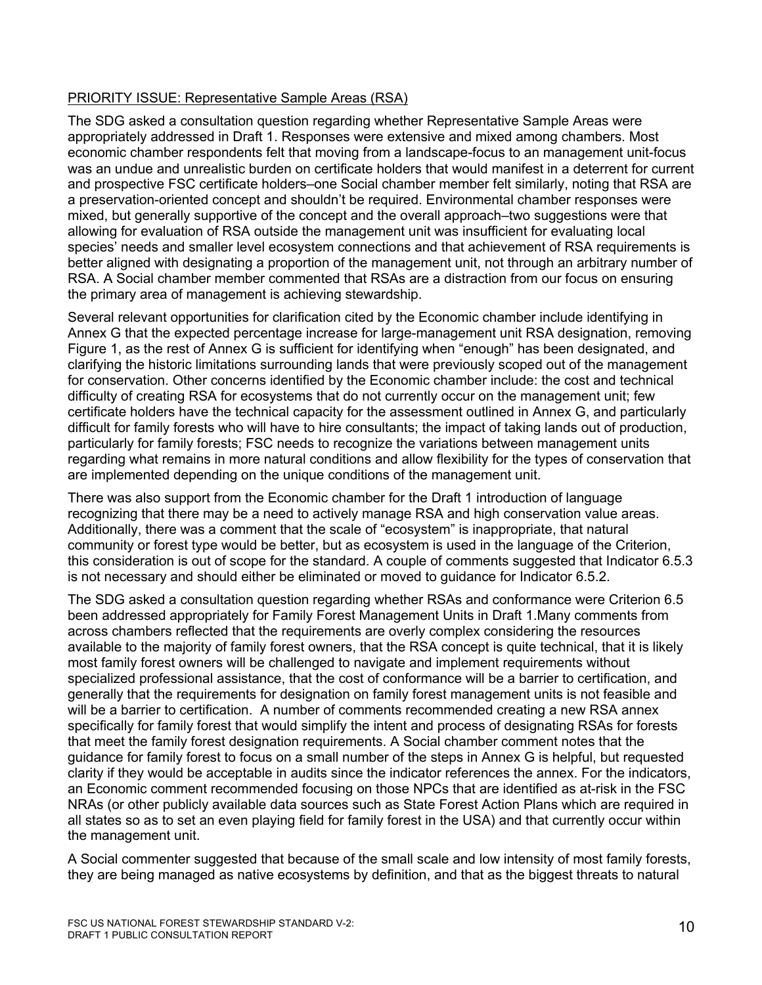## PRIORITY ISSUE: Representative Sample Areas (RSA)

The SDG asked a consultation question regarding whether Representative Sample Areas were appropriately addressed in Draft 1. Responses were extensive and mixed among chambers. Most economic chamber respondents felt that moving from a landscape-focus to an management unit-focus was an undue and unrealistic burden on certificate holders that would manifest in a deterrent for current and prospective FSC certificate holders–one Social chamber member felt similarly, noting that RSA are a preservation-oriented concept and shouldn't be required. Environmental chamber responses were mixed, but generally supportive of the concept and the overall approach–two suggestions were that allowing for evaluation of RSA outside the management unit was insufficient for evaluating local species' needs and smaller level ecosystem connections and that achievement of RSA requirements is better aligned with designating a proportion of the management unit, not through an arbitrary number of RSA. A Social chamber member commented that RSAs are a distraction from our focus on ensuring the primary area of management is achieving stewardship.

Several relevant opportunities for clarification cited by the Economic chamber include identifying in Annex G that the expected percentage increase for large-management unit RSA designation, removing Figure 1, as the rest of Annex G is sufficient for identifying when "enough" has been designated, and clarifying the historic limitations surrounding lands that were previously scoped out of the management for conservation. Other concerns identified by the Economic chamber include: the cost and technical difficulty of creating RSA for ecosystems that do not currently occur on the management unit; few certificate holders have the technical capacity for the assessment outlined in Annex G, and particularly difficult for family forests who will have to hire consultants; the impact of taking lands out of production, particularly for family forests; FSC needs to recognize the variations between management units regarding what remains in more natural conditions and allow flexibility for the types of conservation that are implemented depending on the unique conditions of the management unit.

There was also support from the Economic chamber for the Draft 1 introduction of language recognizing that there may be a need to actively manage RSA and high conservation value areas. Additionally, there was a comment that the scale of "ecosystem" is inappropriate, that natural community or forest type would be better, but as ecosystem is used in the language of the Criterion, this consideration is out of scope for the standard. A couple of comments suggested that Indicator 6.5.3 is not necessary and should either be eliminated or moved to guidance for Indicator 6.5.2.

The SDG asked a consultation question regarding whether RSAs and conformance were Criterion 6.5 been addressed appropriately for Family Forest Management Units in Draft 1.Many comments from across chambers reflected that the requirements are overly complex considering the resources available to the majority of family forest owners, that the RSA concept is quite technical, that it is likely most family forest owners will be challenged to navigate and implement requirements without specialized professional assistance, that the cost of conformance will be a barrier to certification, and generally that the requirements for designation on family forest management units is not feasible and will be a barrier to certification. A number of comments recommended creating a new RSA annex specifically for family forest that would simplify the intent and process of designating RSAs for forests that meet the family forest designation requirements. A Social chamber comment notes that the guidance for family forest to focus on a small number of the steps in Annex G is helpful, but requested clarity if they would be acceptable in audits since the indicator references the annex. For the indicators, an Economic comment recommended focusing on those NPCs that are identified as at-risk in the FSC NRAs (or other publicly available data sources such as State Forest Action Plans which are required in all states so as to set an even playing field for family forest in the USA) and that currently occur within the management unit.

A Social commenter suggested that because of the small scale and low intensity of most family forests, they are being managed as native ecosystems by definition, and that as the biggest threats to natural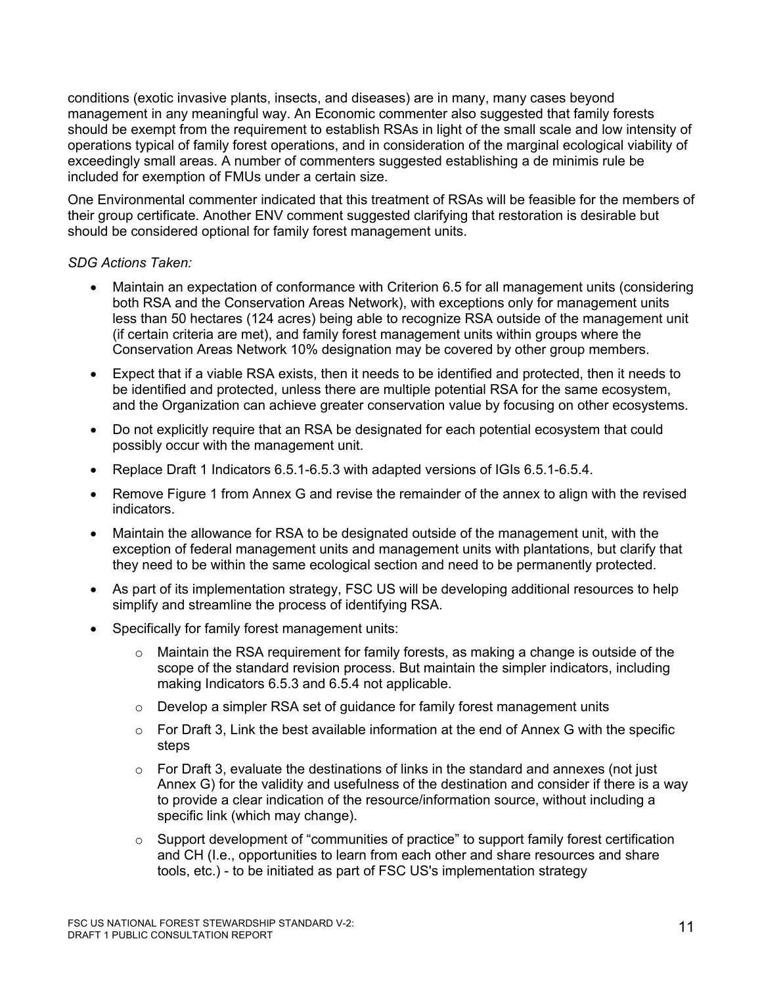conditions (exotic invasive plants, insects, and diseases) are in many, many cases beyond management in any meaningful way. An Economic commenter also suggested that family forests should be exempt from the requirement to establish RSAs in light of the small scale and low intensity of operations typical of family forest operations, and in consideration of the marginal ecological viability of exceedingly small areas. A number of commenters suggested establishing a de minimis rule be included for exemption of FMUs under a certain size.

One Environmental commenter indicated that this treatment of RSAs will be feasible for the members of their group certificate. Another ENV comment suggested clarifying that restoration is desirable but should be considered optional for family forest management units.

- Maintain an expectation of conformance with Criterion 6.5 for all management units (considering both RSA and the Conservation Areas Network), with exceptions only for management units less than 50 hectares (124 acres) being able to recognize RSA outside of the management unit (if certain criteria are met), and family forest management units within groups where the Conservation Areas Network 10% designation may be covered by other group members.
- Expect that if a viable RSA exists, then it needs to be identified and protected, then it needs to be identified and protected, unless there are multiple potential RSA for the same ecosystem, and the Organization can achieve greater conservation value by focusing on other ecosystems.
- Do not explicitly require that an RSA be designated for each potential ecosystem that could possibly occur with the management unit.
- Replace Draft 1 Indicators 6.5.1-6.5.3 with adapted versions of IGIs 6.5.1-6.5.4.
- Remove Figure 1 from Annex G and revise the remainder of the annex to align with the revised indicators.
- Maintain the allowance for RSA to be designated outside of the management unit, with the exception of federal management units and management units with plantations, but clarify that they need to be within the same ecological section and need to be permanently protected.
- As part of its implementation strategy, FSC US will be developing additional resources to help simplify and streamline the process of identifying RSA.
- Specifically for family forest management units:
	- $\circ$  Maintain the RSA requirement for family forests, as making a change is outside of the scope of the standard revision process. But maintain the simpler indicators, including making Indicators 6.5.3 and 6.5.4 not applicable.
	- $\circ$  Develop a simpler RSA set of guidance for family forest management units
	- $\circ$  For Draft 3, Link the best available information at the end of Annex G with the specific steps
	- $\circ$  For Draft 3, evaluate the destinations of links in the standard and annexes (not just Annex G) for the validity and usefulness of the destination and consider if there is a way to provide a clear indication of the resource/information source, without including a specific link (which may change).
	- $\circ$  Support development of "communities of practice" to support family forest certification and CH (I.e., opportunities to learn from each other and share resources and share tools, etc.) - to be initiated as part of FSC US's implementation strategy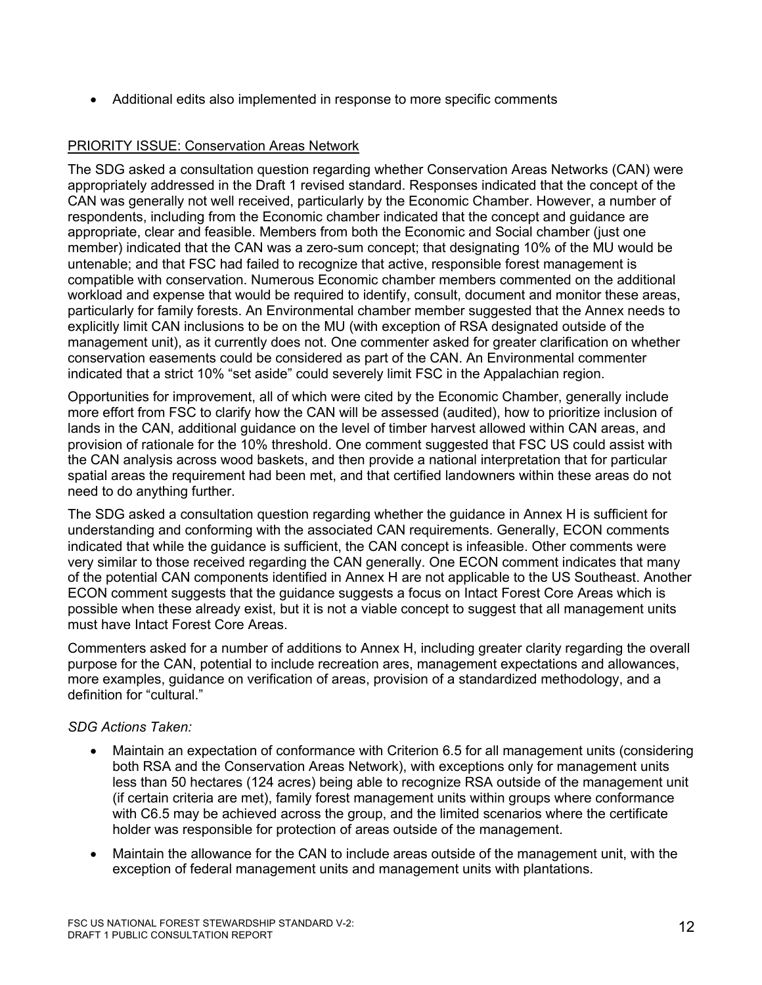• Additional edits also implemented in response to more specific comments

## PRIORITY ISSUE: Conservation Areas Network

The SDG asked a consultation question regarding whether Conservation Areas Networks (CAN) were appropriately addressed in the Draft 1 revised standard. Responses indicated that the concept of the CAN was generally not well received, particularly by the Economic Chamber. However, a number of respondents, including from the Economic chamber indicated that the concept and guidance are appropriate, clear and feasible. Members from both the Economic and Social chamber (just one member) indicated that the CAN was a zero-sum concept; that designating 10% of the MU would be untenable; and that FSC had failed to recognize that active, responsible forest management is compatible with conservation. Numerous Economic chamber members commented on the additional workload and expense that would be required to identify, consult, document and monitor these areas, particularly for family forests. An Environmental chamber member suggested that the Annex needs to explicitly limit CAN inclusions to be on the MU (with exception of RSA designated outside of the management unit), as it currently does not. One commenter asked for greater clarification on whether conservation easements could be considered as part of the CAN. An Environmental commenter indicated that a strict 10% "set aside" could severely limit FSC in the Appalachian region.

Opportunities for improvement, all of which were cited by the Economic Chamber, generally include more effort from FSC to clarify how the CAN will be assessed (audited), how to prioritize inclusion of lands in the CAN, additional guidance on the level of timber harvest allowed within CAN areas, and provision of rationale for the 10% threshold. One comment suggested that FSC US could assist with the CAN analysis across wood baskets, and then provide a national interpretation that for particular spatial areas the requirement had been met, and that certified landowners within these areas do not need to do anything further.

The SDG asked a consultation question regarding whether the guidance in Annex H is sufficient for understanding and conforming with the associated CAN requirements. Generally, ECON comments indicated that while the guidance is sufficient, the CAN concept is infeasible. Other comments were very similar to those received regarding the CAN generally. One ECON comment indicates that many of the potential CAN components identified in Annex H are not applicable to the US Southeast. Another ECON comment suggests that the guidance suggests a focus on Intact Forest Core Areas which is possible when these already exist, but it is not a viable concept to suggest that all management units must have Intact Forest Core Areas.

Commenters asked for a number of additions to Annex H, including greater clarity regarding the overall purpose for the CAN, potential to include recreation ares, management expectations and allowances, more examples, guidance on verification of areas, provision of a standardized methodology, and a definition for "cultural."

- Maintain an expectation of conformance with Criterion 6.5 for all management units (considering both RSA and the Conservation Areas Network), with exceptions only for management units less than 50 hectares (124 acres) being able to recognize RSA outside of the management unit (if certain criteria are met), family forest management units within groups where conformance with C6.5 may be achieved across the group, and the limited scenarios where the certificate holder was responsible for protection of areas outside of the management.
- Maintain the allowance for the CAN to include areas outside of the management unit, with the exception of federal management units and management units with plantations.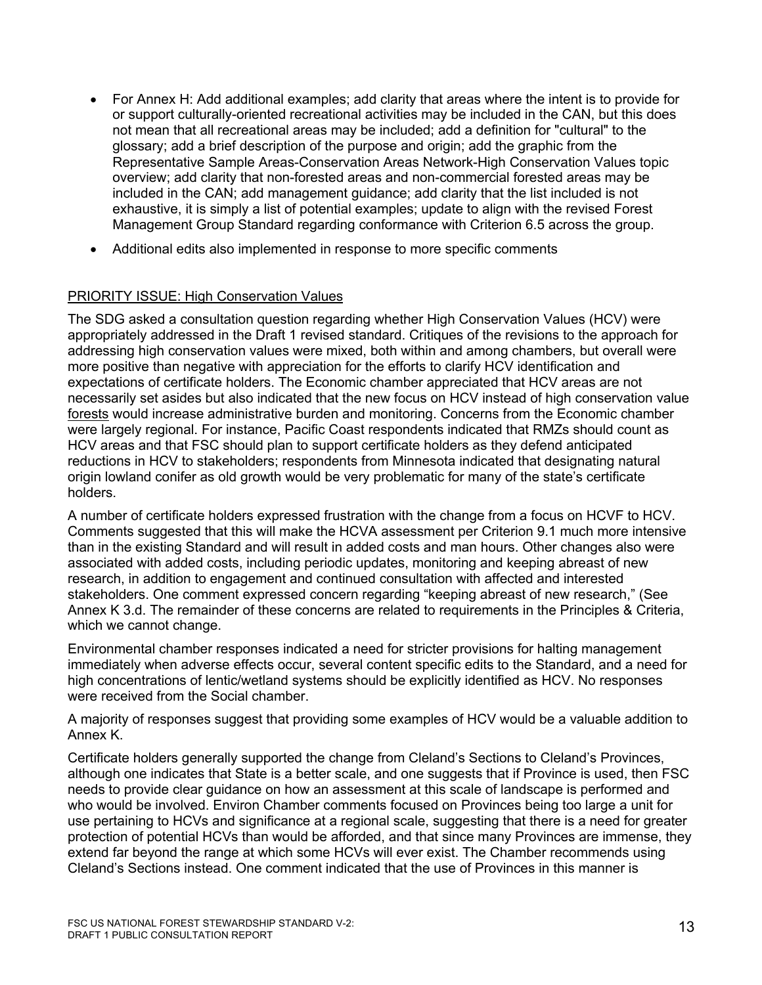- For Annex H: Add additional examples; add clarity that areas where the intent is to provide for or support culturally-oriented recreational activities may be included in the CAN, but this does not mean that all recreational areas may be included; add a definition for "cultural" to the glossary; add a brief description of the purpose and origin; add the graphic from the Representative Sample Areas-Conservation Areas Network-High Conservation Values topic overview; add clarity that non-forested areas and non-commercial forested areas may be included in the CAN; add management guidance; add clarity that the list included is not exhaustive, it is simply a list of potential examples; update to align with the revised Forest Management Group Standard regarding conformance with Criterion 6.5 across the group.
- Additional edits also implemented in response to more specific comments

## PRIORITY ISSUE: High Conservation Values

The SDG asked a consultation question regarding whether High Conservation Values (HCV) were appropriately addressed in the Draft 1 revised standard. Critiques of the revisions to the approach for addressing high conservation values were mixed, both within and among chambers, but overall were more positive than negative with appreciation for the efforts to clarify HCV identification and expectations of certificate holders. The Economic chamber appreciated that HCV areas are not necessarily set asides but also indicated that the new focus on HCV instead of high conservation value forests would increase administrative burden and monitoring. Concerns from the Economic chamber were largely regional. For instance, Pacific Coast respondents indicated that RMZs should count as HCV areas and that FSC should plan to support certificate holders as they defend anticipated reductions in HCV to stakeholders; respondents from Minnesota indicated that designating natural origin lowland conifer as old growth would be very problematic for many of the state's certificate holders.

A number of certificate holders expressed frustration with the change from a focus on HCVF to HCV. Comments suggested that this will make the HCVA assessment per Criterion 9.1 much more intensive than in the existing Standard and will result in added costs and man hours. Other changes also were associated with added costs, including periodic updates, monitoring and keeping abreast of new research, in addition to engagement and continued consultation with affected and interested stakeholders. One comment expressed concern regarding "keeping abreast of new research," (See Annex K 3.d. The remainder of these concerns are related to requirements in the Principles & Criteria, which we cannot change.

Environmental chamber responses indicated a need for stricter provisions for halting management immediately when adverse effects occur, several content specific edits to the Standard, and a need for high concentrations of lentic/wetland systems should be explicitly identified as HCV. No responses were received from the Social chamber.

A majority of responses suggest that providing some examples of HCV would be a valuable addition to Annex K.

Certificate holders generally supported the change from Cleland's Sections to Cleland's Provinces, although one indicates that State is a better scale, and one suggests that if Province is used, then FSC needs to provide clear guidance on how an assessment at this scale of landscape is performed and who would be involved. Environ Chamber comments focused on Provinces being too large a unit for use pertaining to HCVs and significance at a regional scale, suggesting that there is a need for greater protection of potential HCVs than would be afforded, and that since many Provinces are immense, they extend far beyond the range at which some HCVs will ever exist. The Chamber recommends using Cleland's Sections instead. One comment indicated that the use of Provinces in this manner is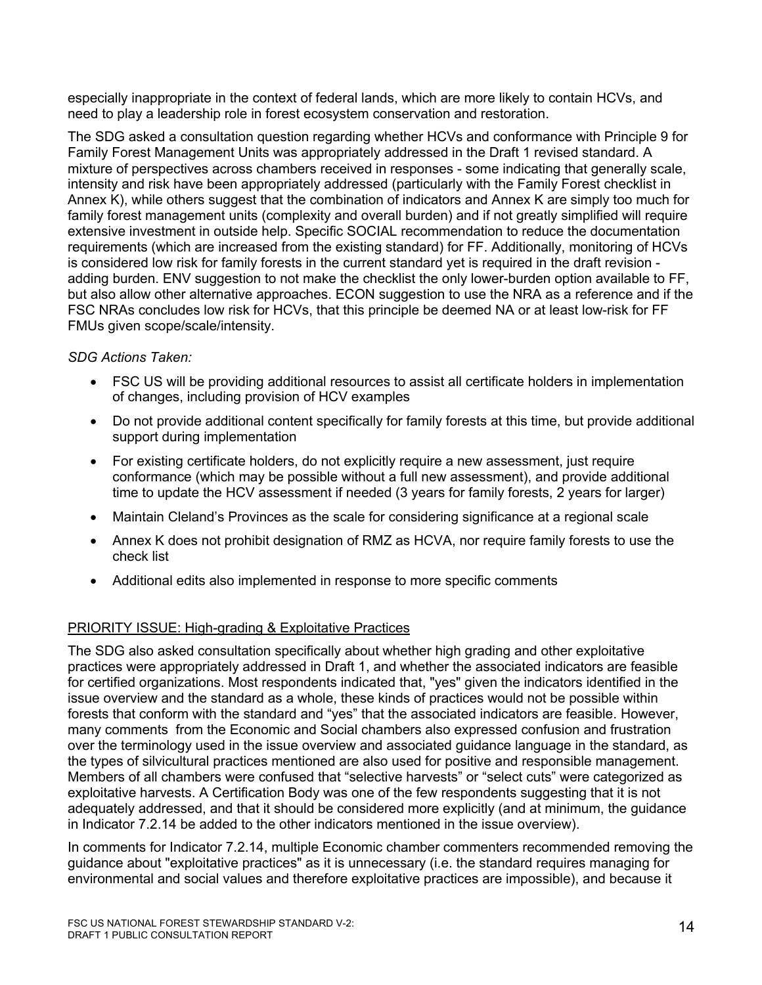especially inappropriate in the context of federal lands, which are more likely to contain HCVs, and need to play a leadership role in forest ecosystem conservation and restoration.

The SDG asked a consultation question regarding whether HCVs and conformance with Principle 9 for Family Forest Management Units was appropriately addressed in the Draft 1 revised standard. A mixture of perspectives across chambers received in responses - some indicating that generally scale, intensity and risk have been appropriately addressed (particularly with the Family Forest checklist in Annex K), while others suggest that the combination of indicators and Annex K are simply too much for family forest management units (complexity and overall burden) and if not greatly simplified will require extensive investment in outside help. Specific SOCIAL recommendation to reduce the documentation requirements (which are increased from the existing standard) for FF. Additionally, monitoring of HCVs is considered low risk for family forests in the current standard yet is required in the draft revision adding burden. ENV suggestion to not make the checklist the only lower-burden option available to FF, but also allow other alternative approaches. ECON suggestion to use the NRA as a reference and if the FSC NRAs concludes low risk for HCVs, that this principle be deemed NA or at least low-risk for FF FMUs given scope/scale/intensity.

## *SDG Actions Taken:*

- FSC US will be providing additional resources to assist all certificate holders in implementation of changes, including provision of HCV examples
- Do not provide additional content specifically for family forests at this time, but provide additional support during implementation
- For existing certificate holders, do not explicitly require a new assessment, just require conformance (which may be possible without a full new assessment), and provide additional time to update the HCV assessment if needed (3 years for family forests, 2 years for larger)
- Maintain Cleland's Provinces as the scale for considering significance at a regional scale
- Annex K does not prohibit designation of RMZ as HCVA, nor require family forests to use the check list
- Additional edits also implemented in response to more specific comments

## PRIORITY ISSUE: High-grading & Exploitative Practices

The SDG also asked consultation specifically about whether high grading and other exploitative practices were appropriately addressed in Draft 1, and whether the associated indicators are feasible for certified organizations. Most respondents indicated that, "yes" given the indicators identified in the issue overview and the standard as a whole, these kinds of practices would not be possible within forests that conform with the standard and "yes" that the associated indicators are feasible. However, many comments from the Economic and Social chambers also expressed confusion and frustration over the terminology used in the issue overview and associated guidance language in the standard, as the types of silvicultural practices mentioned are also used for positive and responsible management. Members of all chambers were confused that "selective harvests" or "select cuts" were categorized as exploitative harvests. A Certification Body was one of the few respondents suggesting that it is not adequately addressed, and that it should be considered more explicitly (and at minimum, the guidance in Indicator 7.2.14 be added to the other indicators mentioned in the issue overview).

In comments for Indicator 7.2.14, multiple Economic chamber commenters recommended removing the guidance about "exploitative practices" as it is unnecessary (i.e. the standard requires managing for environmental and social values and therefore exploitative practices are impossible), and because it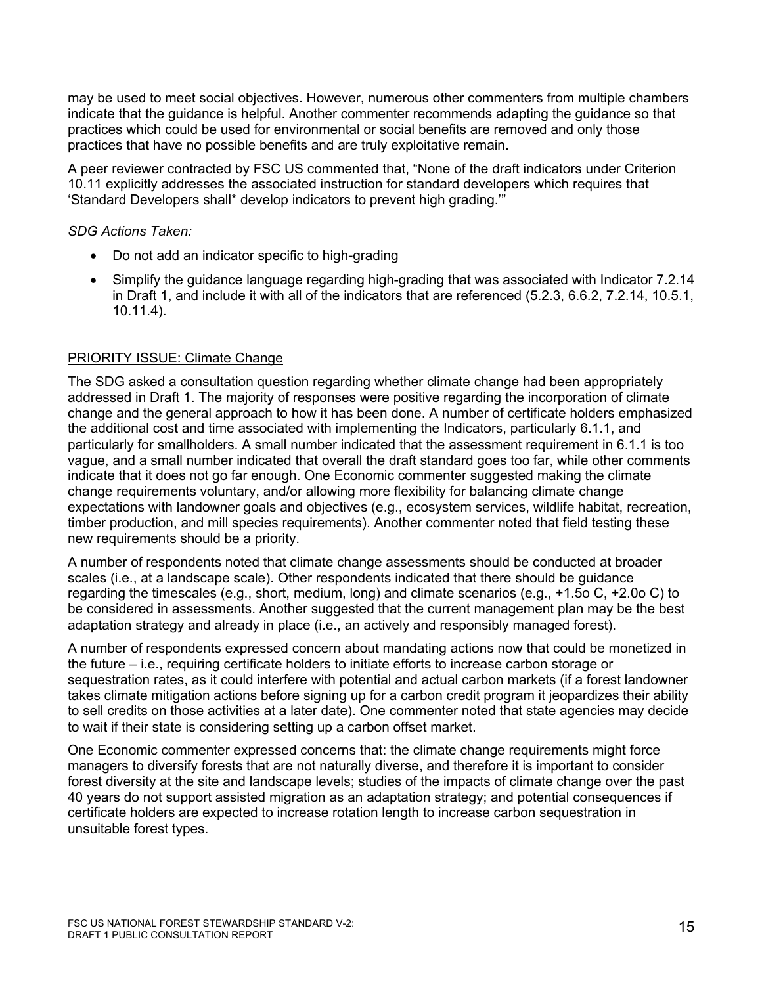may be used to meet social objectives. However, numerous other commenters from multiple chambers indicate that the guidance is helpful. Another commenter recommends adapting the guidance so that practices which could be used for environmental or social benefits are removed and only those practices that have no possible benefits and are truly exploitative remain.

A peer reviewer contracted by FSC US commented that, "None of the draft indicators under Criterion 10.11 explicitly addresses the associated instruction for standard developers which requires that 'Standard Developers shall\* develop indicators to prevent high grading.'"

*SDG Actions Taken:*

- Do not add an indicator specific to high-grading
- Simplify the guidance language regarding high-grading that was associated with Indicator 7.2.14 in Draft 1, and include it with all of the indicators that are referenced (5.2.3, 6.6.2, 7.2.14, 10.5.1, 10.11.4).

## PRIORITY ISSUE: Climate Change

The SDG asked a consultation question regarding whether climate change had been appropriately addressed in Draft 1. The majority of responses were positive regarding the incorporation of climate change and the general approach to how it has been done. A number of certificate holders emphasized the additional cost and time associated with implementing the Indicators, particularly 6.1.1, and particularly for smallholders. A small number indicated that the assessment requirement in 6.1.1 is too vague, and a small number indicated that overall the draft standard goes too far, while other comments indicate that it does not go far enough. One Economic commenter suggested making the climate change requirements voluntary, and/or allowing more flexibility for balancing climate change expectations with landowner goals and objectives (e.g., ecosystem services, wildlife habitat, recreation, timber production, and mill species requirements). Another commenter noted that field testing these new requirements should be a priority.

A number of respondents noted that climate change assessments should be conducted at broader scales (i.e., at a landscape scale). Other respondents indicated that there should be guidance regarding the timescales (e.g., short, medium, long) and climate scenarios (e.g., +1.5o C, +2.0o C) to be considered in assessments. Another suggested that the current management plan may be the best adaptation strategy and already in place (i.e., an actively and responsibly managed forest).

A number of respondents expressed concern about mandating actions now that could be monetized in the future – i.e., requiring certificate holders to initiate efforts to increase carbon storage or sequestration rates, as it could interfere with potential and actual carbon markets (if a forest landowner takes climate mitigation actions before signing up for a carbon credit program it jeopardizes their ability to sell credits on those activities at a later date). One commenter noted that state agencies may decide to wait if their state is considering setting up a carbon offset market.

One Economic commenter expressed concerns that: the climate change requirements might force managers to diversify forests that are not naturally diverse, and therefore it is important to consider forest diversity at the site and landscape levels; studies of the impacts of climate change over the past 40 years do not support assisted migration as an adaptation strategy; and potential consequences if certificate holders are expected to increase rotation length to increase carbon sequestration in unsuitable forest types.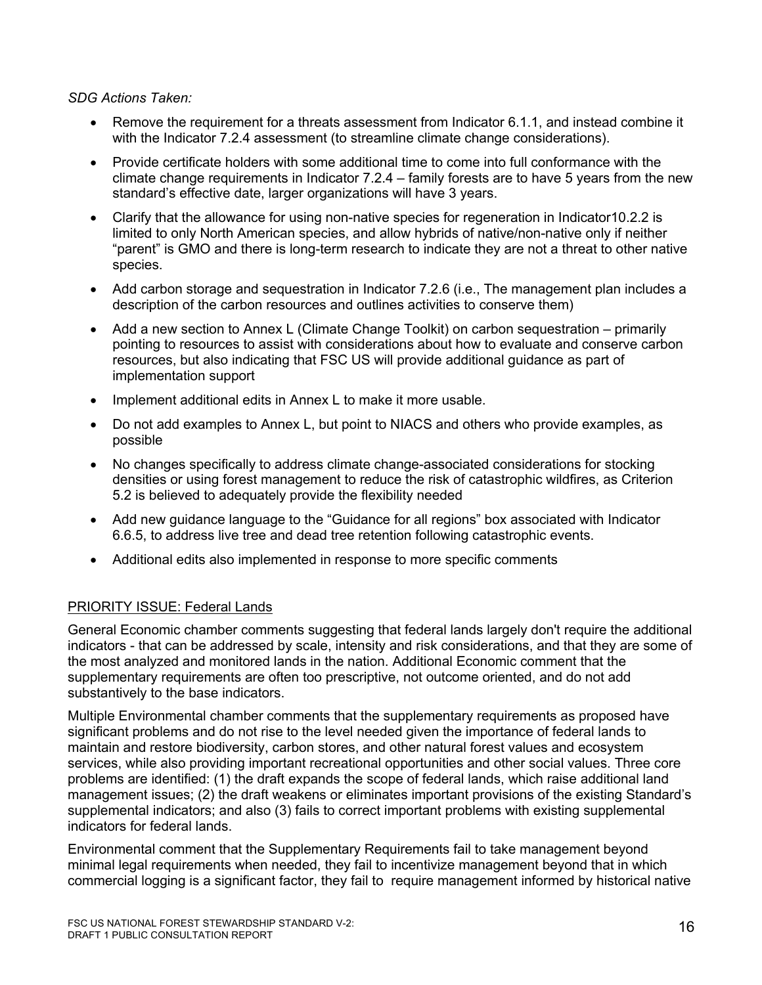#### *SDG Actions Taken:*

- Remove the requirement for a threats assessment from Indicator 6.1.1, and instead combine it with the Indicator 7.2.4 assessment (to streamline climate change considerations).
- Provide certificate holders with some additional time to come into full conformance with the climate change requirements in Indicator 7.2.4 – family forests are to have 5 years from the new standard's effective date, larger organizations will have 3 years.
- Clarify that the allowance for using non-native species for regeneration in Indicator10.2.2 is limited to only North American species, and allow hybrids of native/non-native only if neither "parent" is GMO and there is long-term research to indicate they are not a threat to other native species.
- Add carbon storage and sequestration in Indicator 7.2.6 (i.e., The management plan includes a description of the carbon resources and outlines activities to conserve them)
- Add a new section to Annex L (Climate Change Toolkit) on carbon sequestration primarily pointing to resources to assist with considerations about how to evaluate and conserve carbon resources, but also indicating that FSC US will provide additional guidance as part of implementation support
- Implement additional edits in Annex L to make it more usable.
- Do not add examples to Annex L, but point to NIACS and others who provide examples, as possible
- No changes specifically to address climate change-associated considerations for stocking densities or using forest management to reduce the risk of catastrophic wildfires, as Criterion 5.2 is believed to adequately provide the flexibility needed
- Add new guidance language to the "Guidance for all regions" box associated with Indicator 6.6.5, to address live tree and dead tree retention following catastrophic events.
- Additional edits also implemented in response to more specific comments

## PRIORITY ISSUE: Federal Lands

General Economic chamber comments suggesting that federal lands largely don't require the additional indicators - that can be addressed by scale, intensity and risk considerations, and that they are some of the most analyzed and monitored lands in the nation. Additional Economic comment that the supplementary requirements are often too prescriptive, not outcome oriented, and do not add substantively to the base indicators.

Multiple Environmental chamber comments that the supplementary requirements as proposed have significant problems and do not rise to the level needed given the importance of federal lands to maintain and restore biodiversity, carbon stores, and other natural forest values and ecosystem services, while also providing important recreational opportunities and other social values. Three core problems are identified: (1) the draft expands the scope of federal lands, which raise additional land management issues; (2) the draft weakens or eliminates important provisions of the existing Standard's supplemental indicators; and also (3) fails to correct important problems with existing supplemental indicators for federal lands.

Environmental comment that the Supplementary Requirements fail to take management beyond minimal legal requirements when needed, they fail to incentivize management beyond that in which commercial logging is a significant factor, they fail to require management informed by historical native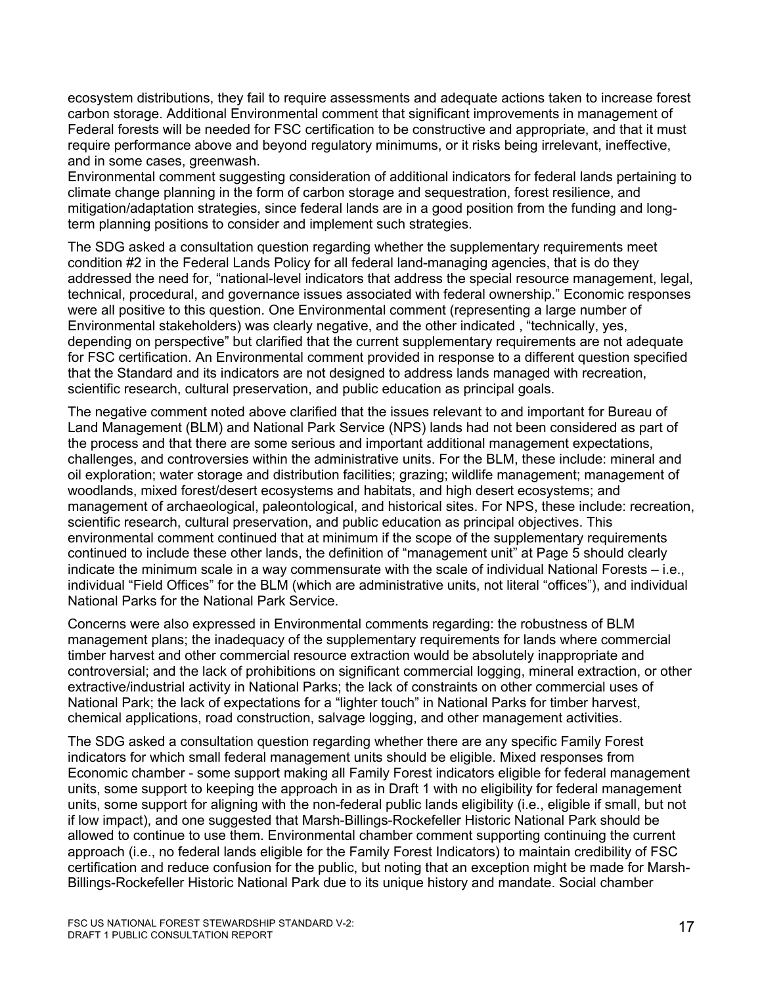ecosystem distributions, they fail to require assessments and adequate actions taken to increase forest carbon storage. Additional Environmental comment that significant improvements in management of Federal forests will be needed for FSC certification to be constructive and appropriate, and that it must require performance above and beyond regulatory minimums, or it risks being irrelevant, ineffective, and in some cases, greenwash.

Environmental comment suggesting consideration of additional indicators for federal lands pertaining to climate change planning in the form of carbon storage and sequestration, forest resilience, and mitigation/adaptation strategies, since federal lands are in a good position from the funding and longterm planning positions to consider and implement such strategies.

The SDG asked a consultation question regarding whether the supplementary requirements meet condition #2 in the Federal Lands Policy for all federal land-managing agencies, that is do they addressed the need for, "national-level indicators that address the special resource management, legal, technical, procedural, and governance issues associated with federal ownership." Economic responses were all positive to this question. One Environmental comment (representing a large number of Environmental stakeholders) was clearly negative, and the other indicated , "technically, yes, depending on perspective" but clarified that the current supplementary requirements are not adequate for FSC certification. An Environmental comment provided in response to a different question specified that the Standard and its indicators are not designed to address lands managed with recreation, scientific research, cultural preservation, and public education as principal goals.

The negative comment noted above clarified that the issues relevant to and important for Bureau of Land Management (BLM) and National Park Service (NPS) lands had not been considered as part of the process and that there are some serious and important additional management expectations, challenges, and controversies within the administrative units. For the BLM, these include: mineral and oil exploration; water storage and distribution facilities; grazing; wildlife management; management of woodlands, mixed forest/desert ecosystems and habitats, and high desert ecosystems; and management of archaeological, paleontological, and historical sites. For NPS, these include: recreation, scientific research, cultural preservation, and public education as principal objectives. This environmental comment continued that at minimum if the scope of the supplementary requirements continued to include these other lands, the definition of "management unit" at Page 5 should clearly indicate the minimum scale in a way commensurate with the scale of individual National Forests – i.e., individual "Field Offices" for the BLM (which are administrative units, not literal "offices"), and individual National Parks for the National Park Service.

Concerns were also expressed in Environmental comments regarding: the robustness of BLM management plans; the inadequacy of the supplementary requirements for lands where commercial timber harvest and other commercial resource extraction would be absolutely inappropriate and controversial; and the lack of prohibitions on significant commercial logging, mineral extraction, or other extractive/industrial activity in National Parks; the lack of constraints on other commercial uses of National Park; the lack of expectations for a "lighter touch" in National Parks for timber harvest, chemical applications, road construction, salvage logging, and other management activities.

The SDG asked a consultation question regarding whether there are any specific Family Forest indicators for which small federal management units should be eligible. Mixed responses from Economic chamber - some support making all Family Forest indicators eligible for federal management units, some support to keeping the approach in as in Draft 1 with no eligibility for federal management units, some support for aligning with the non-federal public lands eligibility (i.e., eligible if small, but not if low impact), and one suggested that Marsh-Billings-Rockefeller Historic National Park should be allowed to continue to use them. Environmental chamber comment supporting continuing the current approach (i.e., no federal lands eligible for the Family Forest Indicators) to maintain credibility of FSC certification and reduce confusion for the public, but noting that an exception might be made for Marsh-Billings-Rockefeller Historic National Park due to its unique history and mandate. Social chamber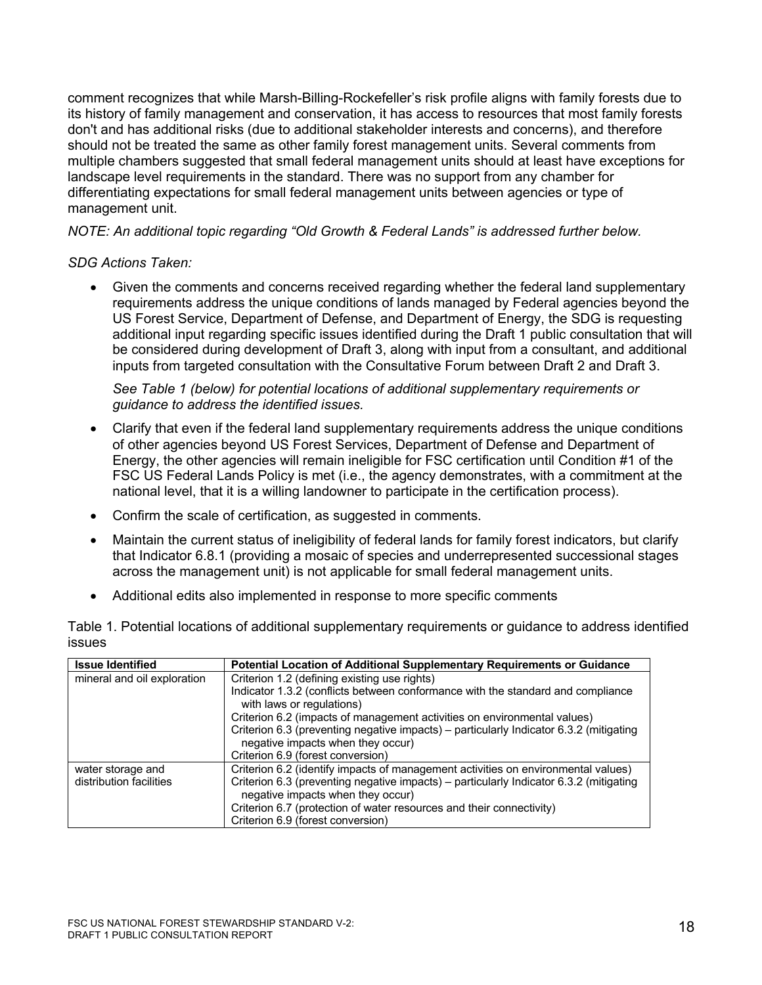comment recognizes that while Marsh-Billing-Rockefeller's risk profile aligns with family forests due to its history of family management and conservation, it has access to resources that most family forests don't and has additional risks (due to additional stakeholder interests and concerns), and therefore should not be treated the same as other family forest management units. Several comments from multiple chambers suggested that small federal management units should at least have exceptions for landscape level requirements in the standard. There was no support from any chamber for differentiating expectations for small federal management units between agencies or type of management unit.

*NOTE: An additional topic regarding "Old Growth & Federal Lands" is addressed further below.*

#### *SDG Actions Taken:*

• Given the comments and concerns received regarding whether the federal land supplementary requirements address the unique conditions of lands managed by Federal agencies beyond the US Forest Service, Department of Defense, and Department of Energy, the SDG is requesting additional input regarding specific issues identified during the Draft 1 public consultation that will be considered during development of Draft 3, along with input from a consultant, and additional inputs from targeted consultation with the Consultative Forum between Draft 2 and Draft 3.

*See Table 1 (below) for potential locations of additional supplementary requirements or guidance to address the identified issues.*

- Clarify that even if the federal land supplementary requirements address the unique conditions of other agencies beyond US Forest Services, Department of Defense and Department of Energy, the other agencies will remain ineligible for FSC certification until Condition #1 of the FSC US Federal Lands Policy is met (i.e., the agency demonstrates, with a commitment at the national level, that it is a willing landowner to participate in the certification process).
- Confirm the scale of certification, as suggested in comments.
- Maintain the current status of ineligibility of federal lands for family forest indicators, but clarify that Indicator 6.8.1 (providing a mosaic of species and underrepresented successional stages across the management unit) is not applicable for small federal management units.
- Additional edits also implemented in response to more specific comments

| l loous Idantifiad | <b>Detential Looption of Additional Supplementary Dequirements or Cuidance</b>                          |  |
|--------------------|---------------------------------------------------------------------------------------------------------|--|
| <b>ISSUES</b>      |                                                                                                         |  |
|                    | Table 1. Potential locations of additional supplementary requirements or guidance to address identified |  |

| <b>Issue Identified</b>     | Potential Location of Additional Supplementary Requirements or Guidance                                                     |
|-----------------------------|-----------------------------------------------------------------------------------------------------------------------------|
| mineral and oil exploration | Criterion 1.2 (defining existing use rights)                                                                                |
|                             | Indicator 1.3.2 (conflicts between conformance with the standard and compliance<br>with laws or regulations)                |
|                             | Criterion 6.2 (impacts of management activities on environmental values)                                                    |
|                             | Criterion 6.3 (preventing negative impacts) – particularly Indicator 6.3.2 (mitigating<br>negative impacts when they occur) |
|                             | Criterion 6.9 (forest conversion)                                                                                           |
| water storage and           | Criterion 6.2 (identify impacts of management activities on environmental values)                                           |
| distribution facilities     | Criterion 6.3 (preventing negative impacts) – particularly Indicator 6.3.2 (mitigating<br>negative impacts when they occur) |
|                             | Criterion 6.7 (protection of water resources and their connectivity)                                                        |
|                             | Criterion 6.9 (forest conversion)                                                                                           |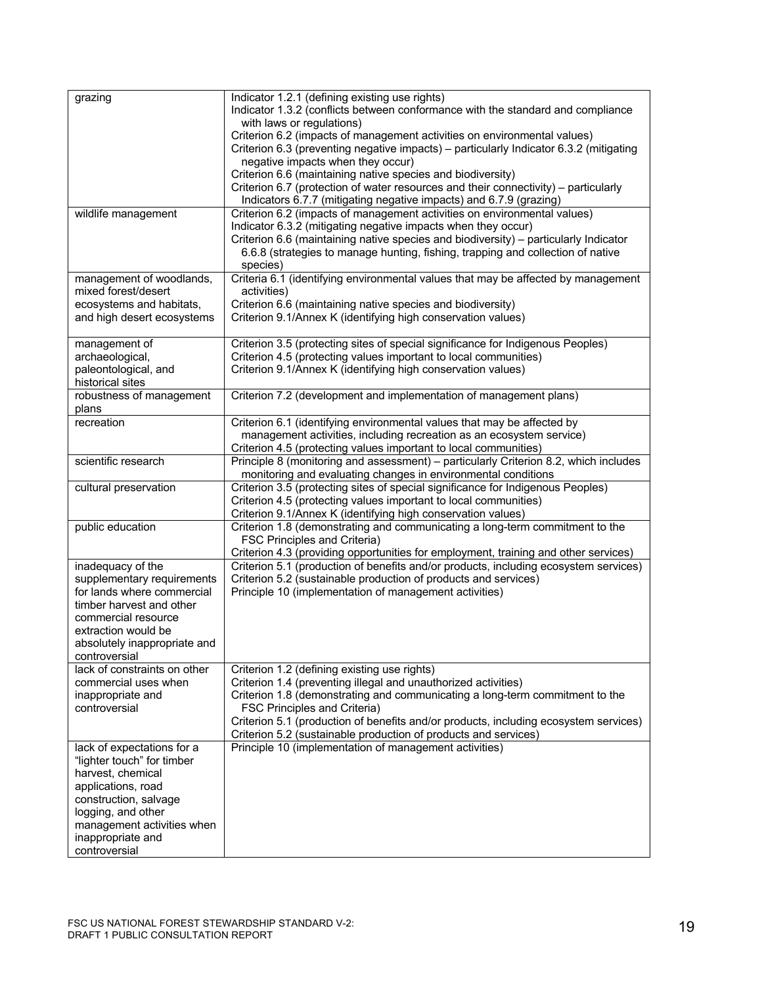| grazing                      | Indicator 1.2.1 (defining existing use rights)                                         |
|------------------------------|----------------------------------------------------------------------------------------|
|                              | Indicator 1.3.2 (conflicts between conformance with the standard and compliance        |
|                              | with laws or regulations)                                                              |
|                              | Criterion 6.2 (impacts of management activities on environmental values)               |
|                              |                                                                                        |
|                              | Criterion 6.3 (preventing negative impacts) - particularly Indicator 6.3.2 (mitigating |
|                              | negative impacts when they occur)                                                      |
|                              | Criterion 6.6 (maintaining native species and biodiversity)                            |
|                              | Criterion 6.7 (protection of water resources and their connectivity) - particularly    |
|                              | Indicators 6.7.7 (mitigating negative impacts) and 6.7.9 (grazing)                     |
| wildlife management          | Criterion 6.2 (impacts of management activities on environmental values)               |
|                              | Indicator 6.3.2 (mitigating negative impacts when they occur)                          |
|                              | Criterion 6.6 (maintaining native species and biodiversity) - particularly Indicator   |
|                              | 6.6.8 (strategies to manage hunting, fishing, trapping and collection of native        |
|                              | species)                                                                               |
| management of woodlands,     | Criteria 6.1 (identifying environmental values that may be affected by management      |
| mixed forest/desert          | activities)                                                                            |
| ecosystems and habitats,     | Criterion 6.6 (maintaining native species and biodiversity)                            |
| and high desert ecosystems   | Criterion 9.1/Annex K (identifying high conservation values)                           |
|                              |                                                                                        |
| management of                | Criterion 3.5 (protecting sites of special significance for Indigenous Peoples)        |
| archaeological,              | Criterion 4.5 (protecting values important to local communities)                       |
| paleontological, and         | Criterion 9.1/Annex K (identifying high conservation values)                           |
| historical sites             |                                                                                        |
| robustness of management     | Criterion 7.2 (development and implementation of management plans)                     |
| plans                        |                                                                                        |
| recreation                   | Criterion 6.1 (identifying environmental values that may be affected by                |
|                              | management activities, including recreation as an ecosystem service)                   |
|                              | Criterion 4.5 (protecting values important to local communities)                       |
| scientific research          | Principle 8 (monitoring and assessment) - particularly Criterion 8.2, which includes   |
|                              | monitoring and evaluating changes in environmental conditions                          |
| cultural preservation        | Criterion 3.5 (protecting sites of special significance for Indigenous Peoples)        |
|                              | Criterion 4.5 (protecting values important to local communities)                       |
|                              | Criterion 9.1/Annex K (identifying high conservation values)                           |
| public education             | Criterion 1.8 (demonstrating and communicating a long-term commitment to the           |
|                              | FSC Principles and Criteria)                                                           |
|                              | Criterion 4.3 (providing opportunities for employment, training and other services)    |
| inadequacy of the            | Criterion 5.1 (production of benefits and/or products, including ecosystem services)   |
| supplementary requirements   | Criterion 5.2 (sustainable production of products and services)                        |
| for lands where commercial   |                                                                                        |
|                              | Principle 10 (implementation of management activities)                                 |
| timber harvest and other     |                                                                                        |
| commercial resource          |                                                                                        |
| extraction would be          |                                                                                        |
| absolutely inappropriate and |                                                                                        |
| controversial                |                                                                                        |
| lack of constraints on other | Criterion 1.2 (defining existing use rights)                                           |
| commercial uses when         | Criterion 1.4 (preventing illegal and unauthorized activities)                         |
| inappropriate and            | Criterion 1.8 (demonstrating and communicating a long-term commitment to the           |
| controversial                | FSC Principles and Criteria)                                                           |
|                              | Criterion 5.1 (production of benefits and/or products, including ecosystem services)   |
|                              | Criterion 5.2 (sustainable production of products and services)                        |
| lack of expectations for a   | Principle 10 (implementation of management activities)                                 |
| "lighter touch" for timber   |                                                                                        |
| harvest, chemical            |                                                                                        |
| applications, road           |                                                                                        |
| construction, salvage        |                                                                                        |
| logging, and other           |                                                                                        |
| management activities when   |                                                                                        |
| inappropriate and            |                                                                                        |
| controversial                |                                                                                        |
|                              |                                                                                        |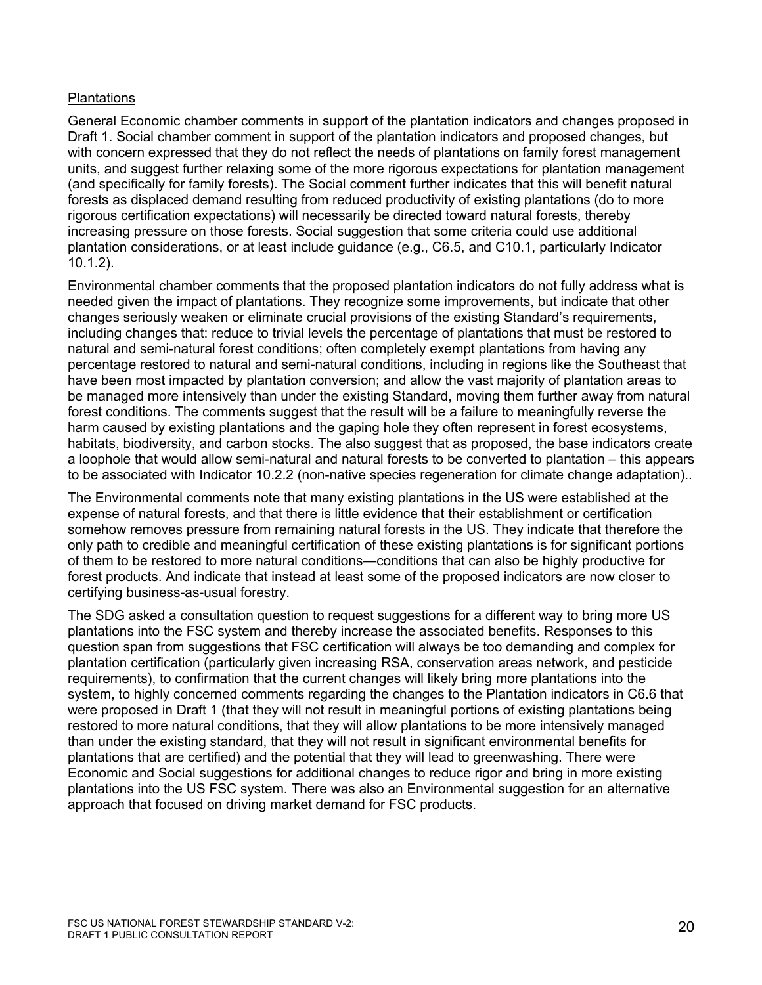## **Plantations**

General Economic chamber comments in support of the plantation indicators and changes proposed in Draft 1. Social chamber comment in support of the plantation indicators and proposed changes, but with concern expressed that they do not reflect the needs of plantations on family forest management units, and suggest further relaxing some of the more rigorous expectations for plantation management (and specifically for family forests). The Social comment further indicates that this will benefit natural forests as displaced demand resulting from reduced productivity of existing plantations (do to more rigorous certification expectations) will necessarily be directed toward natural forests, thereby increasing pressure on those forests. Social suggestion that some criteria could use additional plantation considerations, or at least include guidance (e.g., C6.5, and C10.1, particularly Indicator 10.1.2).

Environmental chamber comments that the proposed plantation indicators do not fully address what is needed given the impact of plantations. They recognize some improvements, but indicate that other changes seriously weaken or eliminate crucial provisions of the existing Standard's requirements, including changes that: reduce to trivial levels the percentage of plantations that must be restored to natural and semi-natural forest conditions; often completely exempt plantations from having any percentage restored to natural and semi-natural conditions, including in regions like the Southeast that have been most impacted by plantation conversion; and allow the vast majority of plantation areas to be managed more intensively than under the existing Standard, moving them further away from natural forest conditions. The comments suggest that the result will be a failure to meaningfully reverse the harm caused by existing plantations and the gaping hole they often represent in forest ecosystems, habitats, biodiversity, and carbon stocks. The also suggest that as proposed, the base indicators create a loophole that would allow semi-natural and natural forests to be converted to plantation – this appears to be associated with Indicator 10.2.2 (non-native species regeneration for climate change adaptation)..

The Environmental comments note that many existing plantations in the US were established at the expense of natural forests, and that there is little evidence that their establishment or certification somehow removes pressure from remaining natural forests in the US. They indicate that therefore the only path to credible and meaningful certification of these existing plantations is for significant portions of them to be restored to more natural conditions—conditions that can also be highly productive for forest products. And indicate that instead at least some of the proposed indicators are now closer to certifying business-as-usual forestry.

The SDG asked a consultation question to request suggestions for a different way to bring more US plantations into the FSC system and thereby increase the associated benefits. Responses to this question span from suggestions that FSC certification will always be too demanding and complex for plantation certification (particularly given increasing RSA, conservation areas network, and pesticide requirements), to confirmation that the current changes will likely bring more plantations into the system, to highly concerned comments regarding the changes to the Plantation indicators in C6.6 that were proposed in Draft 1 (that they will not result in meaningful portions of existing plantations being restored to more natural conditions, that they will allow plantations to be more intensively managed than under the existing standard, that they will not result in significant environmental benefits for plantations that are certified) and the potential that they will lead to greenwashing. There were Economic and Social suggestions for additional changes to reduce rigor and bring in more existing plantations into the US FSC system. There was also an Environmental suggestion for an alternative approach that focused on driving market demand for FSC products.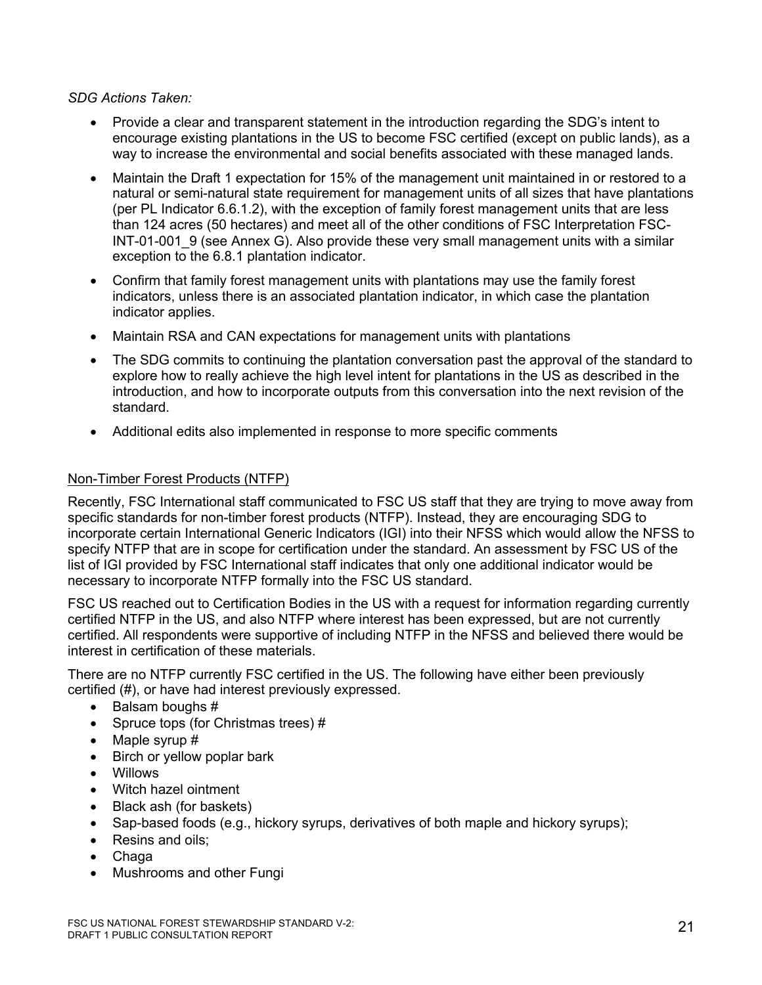## *SDG Actions Taken:*

- Provide a clear and transparent statement in the introduction regarding the SDG's intent to encourage existing plantations in the US to become FSC certified (except on public lands), as a way to increase the environmental and social benefits associated with these managed lands.
- Maintain the Draft 1 expectation for 15% of the management unit maintained in or restored to a natural or semi-natural state requirement for management units of all sizes that have plantations (per PL Indicator 6.6.1.2), with the exception of family forest management units that are less than 124 acres (50 hectares) and meet all of the other conditions of FSC Interpretation FSC-INT-01-001 9 (see Annex G). Also provide these very small management units with a similar exception to the 6.8.1 plantation indicator.
- Confirm that family forest management units with plantations may use the family forest indicators, unless there is an associated plantation indicator, in which case the plantation indicator applies.
- Maintain RSA and CAN expectations for management units with plantations
- The SDG commits to continuing the plantation conversation past the approval of the standard to explore how to really achieve the high level intent for plantations in the US as described in the introduction, and how to incorporate outputs from this conversation into the next revision of the standard.
- Additional edits also implemented in response to more specific comments

## Non-Timber Forest Products (NTFP)

Recently, FSC International staff communicated to FSC US staff that they are trying to move away from specific standards for non-timber forest products (NTFP). Instead, they are encouraging SDG to incorporate certain International Generic Indicators (IGI) into their NFSS which would allow the NFSS to specify NTFP that are in scope for certification under the standard. An assessment by FSC US of the list of IGI provided by FSC International staff indicates that only one additional indicator would be necessary to incorporate NTFP formally into the FSC US standard.

FSC US reached out to Certification Bodies in the US with a request for information regarding currently certified NTFP in the US, and also NTFP where interest has been expressed, but are not currently certified. All respondents were supportive of including NTFP in the NFSS and believed there would be interest in certification of these materials.

There are no NTFP currently FSC certified in the US. The following have either been previously certified (#), or have had interest previously expressed.

- Balsam boughs #
- Spruce tops (for Christmas trees) #
- Maple syrup #
- Birch or yellow poplar bark
- Willows
- Witch hazel ointment
- Black ash (for baskets)
- Sap-based foods (e.g., hickory syrups, derivatives of both maple and hickory syrups);
- Resins and oils;
- Chaga
- Mushrooms and other Fungi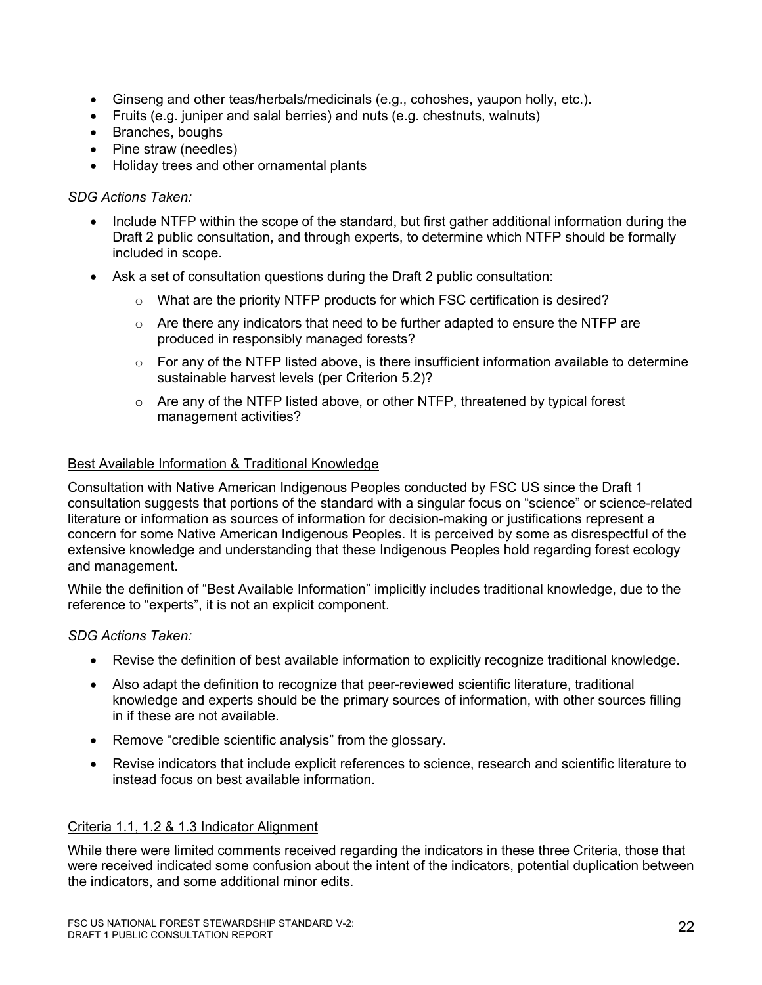- Ginseng and other teas/herbals/medicinals (e.g., cohoshes, yaupon holly, etc.).
- Fruits (e.g. juniper and salal berries) and nuts (e.g. chestnuts, walnuts)
- Branches, boughs
- Pine straw (needles)
- Holiday trees and other ornamental plants

#### *SDG Actions Taken:*

- Include NTFP within the scope of the standard, but first gather additional information during the Draft 2 public consultation, and through experts, to determine which NTFP should be formally included in scope.
- Ask a set of consultation questions during the Draft 2 public consultation:
	- $\circ$  What are the priority NTFP products for which FSC certification is desired?
	- $\circ$  Are there any indicators that need to be further adapted to ensure the NTFP are produced in responsibly managed forests?
	- $\circ$  For any of the NTFP listed above, is there insufficient information available to determine sustainable harvest levels (per Criterion 5.2)?
	- $\circ$  Are any of the NTFP listed above, or other NTFP, threatened by typical forest management activities?

#### Best Available Information & Traditional Knowledge

Consultation with Native American Indigenous Peoples conducted by FSC US since the Draft 1 consultation suggests that portions of the standard with a singular focus on "science" or science-related literature or information as sources of information for decision-making or justifications represent a concern for some Native American Indigenous Peoples. It is perceived by some as disrespectful of the extensive knowledge and understanding that these Indigenous Peoples hold regarding forest ecology and management.

While the definition of "Best Available Information" implicitly includes traditional knowledge, due to the reference to "experts", it is not an explicit component.

## *SDG Actions Taken:*

- Revise the definition of best available information to explicitly recognize traditional knowledge.
- Also adapt the definition to recognize that peer-reviewed scientific literature, traditional knowledge and experts should be the primary sources of information, with other sources filling in if these are not available.
- Remove "credible scientific analysis" from the glossary.
- Revise indicators that include explicit references to science, research and scientific literature to instead focus on best available information.

## Criteria 1.1, 1.2 & 1.3 Indicator Alignment

While there were limited comments received regarding the indicators in these three Criteria, those that were received indicated some confusion about the intent of the indicators, potential duplication between the indicators, and some additional minor edits.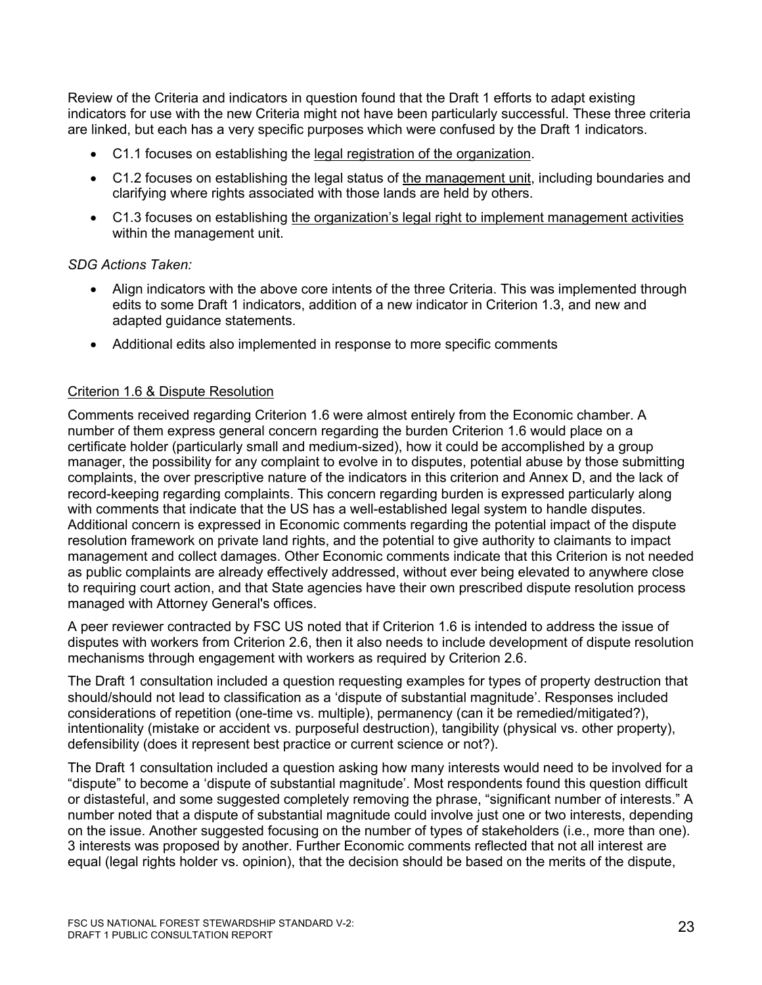Review of the Criteria and indicators in question found that the Draft 1 efforts to adapt existing indicators for use with the new Criteria might not have been particularly successful. These three criteria are linked, but each has a very specific purposes which were confused by the Draft 1 indicators.

- C1.1 focuses on establishing the legal registration of the organization.
- C1.2 focuses on establishing the legal status of the management unit, including boundaries and clarifying where rights associated with those lands are held by others.
- C1.3 focuses on establishing the organization's legal right to implement management activities within the management unit.

## *SDG Actions Taken:*

- Align indicators with the above core intents of the three Criteria. This was implemented through edits to some Draft 1 indicators, addition of a new indicator in Criterion 1.3, and new and adapted guidance statements.
- Additional edits also implemented in response to more specific comments

## Criterion 1.6 & Dispute Resolution

Comments received regarding Criterion 1.6 were almost entirely from the Economic chamber. A number of them express general concern regarding the burden Criterion 1.6 would place on a certificate holder (particularly small and medium-sized), how it could be accomplished by a group manager, the possibility for any complaint to evolve in to disputes, potential abuse by those submitting complaints, the over prescriptive nature of the indicators in this criterion and Annex D, and the lack of record-keeping regarding complaints. This concern regarding burden is expressed particularly along with comments that indicate that the US has a well-established legal system to handle disputes. Additional concern is expressed in Economic comments regarding the potential impact of the dispute resolution framework on private land rights, and the potential to give authority to claimants to impact management and collect damages. Other Economic comments indicate that this Criterion is not needed as public complaints are already effectively addressed, without ever being elevated to anywhere close to requiring court action, and that State agencies have their own prescribed dispute resolution process managed with Attorney General's offices.

A peer reviewer contracted by FSC US noted that if Criterion 1.6 is intended to address the issue of disputes with workers from Criterion 2.6, then it also needs to include development of dispute resolution mechanisms through engagement with workers as required by Criterion 2.6.

The Draft 1 consultation included a question requesting examples for types of property destruction that should/should not lead to classification as a 'dispute of substantial magnitude'. Responses included considerations of repetition (one-time vs. multiple), permanency (can it be remedied/mitigated?), intentionality (mistake or accident vs. purposeful destruction), tangibility (physical vs. other property), defensibility (does it represent best practice or current science or not?).

The Draft 1 consultation included a question asking how many interests would need to be involved for a "dispute" to become a 'dispute of substantial magnitude'. Most respondents found this question difficult or distasteful, and some suggested completely removing the phrase, "significant number of interests." A number noted that a dispute of substantial magnitude could involve just one or two interests, depending on the issue. Another suggested focusing on the number of types of stakeholders (i.e., more than one). 3 interests was proposed by another. Further Economic comments reflected that not all interest are equal (legal rights holder vs. opinion), that the decision should be based on the merits of the dispute,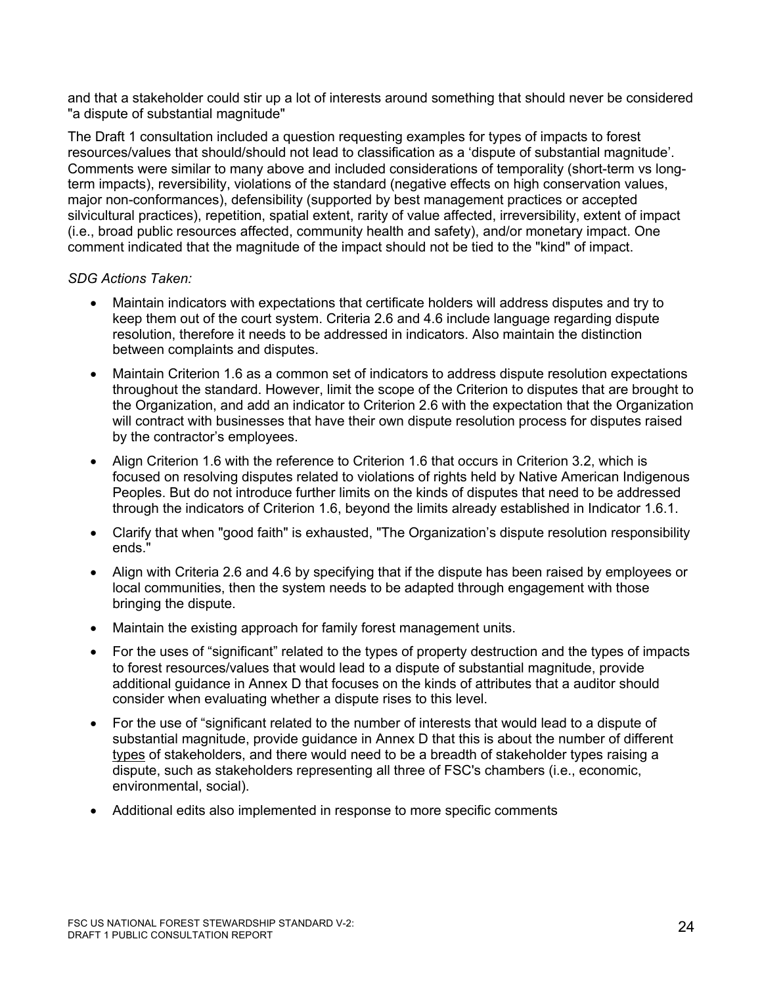and that a stakeholder could stir up a lot of interests around something that should never be considered "a dispute of substantial magnitude"

The Draft 1 consultation included a question requesting examples for types of impacts to forest resources/values that should/should not lead to classification as a 'dispute of substantial magnitude'. Comments were similar to many above and included considerations of temporality (short-term vs longterm impacts), reversibility, violations of the standard (negative effects on high conservation values, major non-conformances), defensibility (supported by best management practices or accepted silvicultural practices), repetition, spatial extent, rarity of value affected, irreversibility, extent of impact (i.e., broad public resources affected, community health and safety), and/or monetary impact. One comment indicated that the magnitude of the impact should not be tied to the "kind" of impact.

- Maintain indicators with expectations that certificate holders will address disputes and try to keep them out of the court system. Criteria 2.6 and 4.6 include language regarding dispute resolution, therefore it needs to be addressed in indicators. Also maintain the distinction between complaints and disputes.
- Maintain Criterion 1.6 as a common set of indicators to address dispute resolution expectations throughout the standard. However, limit the scope of the Criterion to disputes that are brought to the Organization, and add an indicator to Criterion 2.6 with the expectation that the Organization will contract with businesses that have their own dispute resolution process for disputes raised by the contractor's employees.
- Align Criterion 1.6 with the reference to Criterion 1.6 that occurs in Criterion 3.2, which is focused on resolving disputes related to violations of rights held by Native American Indigenous Peoples. But do not introduce further limits on the kinds of disputes that need to be addressed through the indicators of Criterion 1.6, beyond the limits already established in Indicator 1.6.1.
- Clarify that when "good faith" is exhausted, "The Organization's dispute resolution responsibility ends."
- Align with Criteria 2.6 and 4.6 by specifying that if the dispute has been raised by employees or local communities, then the system needs to be adapted through engagement with those bringing the dispute.
- Maintain the existing approach for family forest management units.
- For the uses of "significant" related to the types of property destruction and the types of impacts to forest resources/values that would lead to a dispute of substantial magnitude, provide additional guidance in Annex D that focuses on the kinds of attributes that a auditor should consider when evaluating whether a dispute rises to this level.
- For the use of "significant related to the number of interests that would lead to a dispute of substantial magnitude, provide guidance in Annex D that this is about the number of different types of stakeholders, and there would need to be a breadth of stakeholder types raising a dispute, such as stakeholders representing all three of FSC's chambers (i.e., economic, environmental, social).
- Additional edits also implemented in response to more specific comments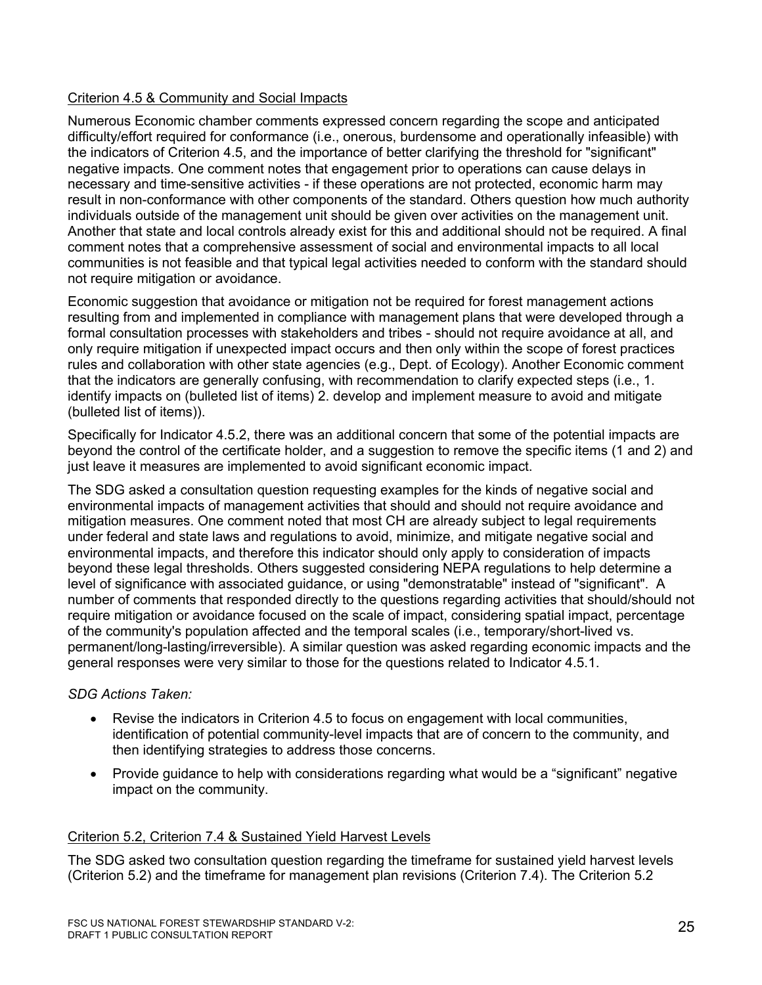## Criterion 4.5 & Community and Social Impacts

Numerous Economic chamber comments expressed concern regarding the scope and anticipated difficulty/effort required for conformance (i.e., onerous, burdensome and operationally infeasible) with the indicators of Criterion 4.5, and the importance of better clarifying the threshold for "significant" negative impacts. One comment notes that engagement prior to operations can cause delays in necessary and time-sensitive activities - if these operations are not protected, economic harm may result in non-conformance with other components of the standard. Others question how much authority individuals outside of the management unit should be given over activities on the management unit. Another that state and local controls already exist for this and additional should not be required. A final comment notes that a comprehensive assessment of social and environmental impacts to all local communities is not feasible and that typical legal activities needed to conform with the standard should not require mitigation or avoidance.

Economic suggestion that avoidance or mitigation not be required for forest management actions resulting from and implemented in compliance with management plans that were developed through a formal consultation processes with stakeholders and tribes - should not require avoidance at all, and only require mitigation if unexpected impact occurs and then only within the scope of forest practices rules and collaboration with other state agencies (e.g., Dept. of Ecology). Another Economic comment that the indicators are generally confusing, with recommendation to clarify expected steps (i.e., 1. identify impacts on (bulleted list of items) 2. develop and implement measure to avoid and mitigate (bulleted list of items)).

Specifically for Indicator 4.5.2, there was an additional concern that some of the potential impacts are beyond the control of the certificate holder, and a suggestion to remove the specific items (1 and 2) and just leave it measures are implemented to avoid significant economic impact.

The SDG asked a consultation question requesting examples for the kinds of negative social and environmental impacts of management activities that should and should not require avoidance and mitigation measures. One comment noted that most CH are already subject to legal requirements under federal and state laws and regulations to avoid, minimize, and mitigate negative social and environmental impacts, and therefore this indicator should only apply to consideration of impacts beyond these legal thresholds. Others suggested considering NEPA regulations to help determine a level of significance with associated guidance, or using "demonstratable" instead of "significant". A number of comments that responded directly to the questions regarding activities that should/should not require mitigation or avoidance focused on the scale of impact, considering spatial impact, percentage of the community's population affected and the temporal scales (i.e., temporary/short-lived vs. permanent/long-lasting/irreversible). A similar question was asked regarding economic impacts and the general responses were very similar to those for the questions related to Indicator 4.5.1.

## *SDG Actions Taken:*

- Revise the indicators in Criterion 4.5 to focus on engagement with local communities, identification of potential community-level impacts that are of concern to the community, and then identifying strategies to address those concerns.
- Provide guidance to help with considerations regarding what would be a "significant" negative impact on the community.

## Criterion 5.2, Criterion 7.4 & Sustained Yield Harvest Levels

The SDG asked two consultation question regarding the timeframe for sustained yield harvest levels (Criterion 5.2) and the timeframe for management plan revisions (Criterion 7.4). The Criterion 5.2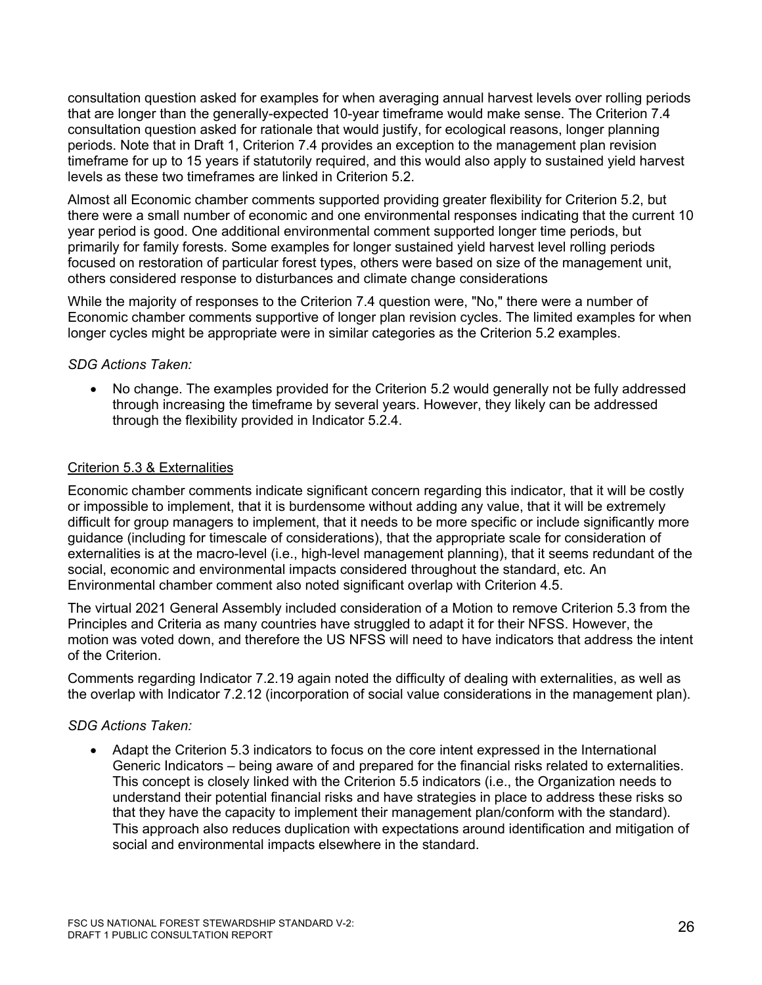consultation question asked for examples for when averaging annual harvest levels over rolling periods that are longer than the generally-expected 10-year timeframe would make sense. The Criterion 7.4 consultation question asked for rationale that would justify, for ecological reasons, longer planning periods. Note that in Draft 1, Criterion 7.4 provides an exception to the management plan revision timeframe for up to 15 years if statutorily required, and this would also apply to sustained yield harvest levels as these two timeframes are linked in Criterion 5.2.

Almost all Economic chamber comments supported providing greater flexibility for Criterion 5.2, but there were a small number of economic and one environmental responses indicating that the current 10 year period is good. One additional environmental comment supported longer time periods, but primarily for family forests. Some examples for longer sustained yield harvest level rolling periods focused on restoration of particular forest types, others were based on size of the management unit, others considered response to disturbances and climate change considerations

While the majority of responses to the Criterion 7.4 question were, "No," there were a number of Economic chamber comments supportive of longer plan revision cycles. The limited examples for when longer cycles might be appropriate were in similar categories as the Criterion 5.2 examples.

## *SDG Actions Taken:*

• No change. The examples provided for the Criterion 5.2 would generally not be fully addressed through increasing the timeframe by several years. However, they likely can be addressed through the flexibility provided in Indicator 5.2.4.

#### Criterion 5.3 & Externalities

Economic chamber comments indicate significant concern regarding this indicator, that it will be costly or impossible to implement, that it is burdensome without adding any value, that it will be extremely difficult for group managers to implement, that it needs to be more specific or include significantly more guidance (including for timescale of considerations), that the appropriate scale for consideration of externalities is at the macro-level (i.e., high-level management planning), that it seems redundant of the social, economic and environmental impacts considered throughout the standard, etc. An Environmental chamber comment also noted significant overlap with Criterion 4.5.

The virtual 2021 General Assembly included consideration of a Motion to remove Criterion 5.3 from the Principles and Criteria as many countries have struggled to adapt it for their NFSS. However, the motion was voted down, and therefore the US NFSS will need to have indicators that address the intent of the Criterion.

Comments regarding Indicator 7.2.19 again noted the difficulty of dealing with externalities, as well as the overlap with Indicator 7.2.12 (incorporation of social value considerations in the management plan).

## *SDG Actions Taken:*

• Adapt the Criterion 5.3 indicators to focus on the core intent expressed in the International Generic Indicators – being aware of and prepared for the financial risks related to externalities. This concept is closely linked with the Criterion 5.5 indicators (i.e., the Organization needs to understand their potential financial risks and have strategies in place to address these risks so that they have the capacity to implement their management plan/conform with the standard). This approach also reduces duplication with expectations around identification and mitigation of social and environmental impacts elsewhere in the standard.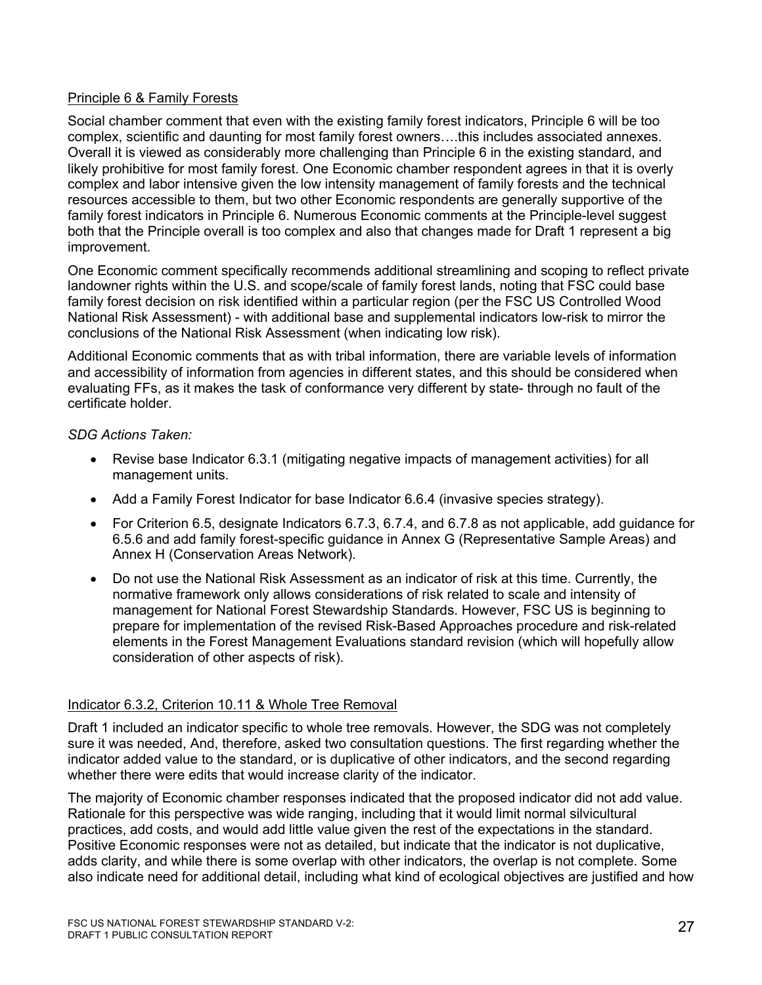## Principle 6 & Family Forests

Social chamber comment that even with the existing family forest indicators, Principle 6 will be too complex, scientific and daunting for most family forest owners….this includes associated annexes. Overall it is viewed as considerably more challenging than Principle 6 in the existing standard, and likely prohibitive for most family forest. One Economic chamber respondent agrees in that it is overly complex and labor intensive given the low intensity management of family forests and the technical resources accessible to them, but two other Economic respondents are generally supportive of the family forest indicators in Principle 6. Numerous Economic comments at the Principle-level suggest both that the Principle overall is too complex and also that changes made for Draft 1 represent a big improvement.

One Economic comment specifically recommends additional streamlining and scoping to reflect private landowner rights within the U.S. and scope/scale of family forest lands, noting that FSC could base family forest decision on risk identified within a particular region (per the FSC US Controlled Wood National Risk Assessment) - with additional base and supplemental indicators low-risk to mirror the conclusions of the National Risk Assessment (when indicating low risk).

Additional Economic comments that as with tribal information, there are variable levels of information and accessibility of information from agencies in different states, and this should be considered when evaluating FFs, as it makes the task of conformance very different by state- through no fault of the certificate holder.

## *SDG Actions Taken:*

- Revise base Indicator 6.3.1 (mitigating negative impacts of management activities) for all management units.
- Add a Family Forest Indicator for base Indicator 6.6.4 (invasive species strategy).
- For Criterion 6.5, designate Indicators 6.7.3, 6.7.4, and 6.7.8 as not applicable, add guidance for 6.5.6 and add family forest-specific guidance in Annex G (Representative Sample Areas) and Annex H (Conservation Areas Network).
- Do not use the National Risk Assessment as an indicator of risk at this time. Currently, the normative framework only allows considerations of risk related to scale and intensity of management for National Forest Stewardship Standards. However, FSC US is beginning to prepare for implementation of the revised Risk-Based Approaches procedure and risk-related elements in the Forest Management Evaluations standard revision (which will hopefully allow consideration of other aspects of risk).

## Indicator 6.3.2, Criterion 10.11 & Whole Tree Removal

Draft 1 included an indicator specific to whole tree removals. However, the SDG was not completely sure it was needed, And, therefore, asked two consultation questions. The first regarding whether the indicator added value to the standard, or is duplicative of other indicators, and the second regarding whether there were edits that would increase clarity of the indicator.

The majority of Economic chamber responses indicated that the proposed indicator did not add value. Rationale for this perspective was wide ranging, including that it would limit normal silvicultural practices, add costs, and would add little value given the rest of the expectations in the standard. Positive Economic responses were not as detailed, but indicate that the indicator is not duplicative, adds clarity, and while there is some overlap with other indicators, the overlap is not complete. Some also indicate need for additional detail, including what kind of ecological objectives are justified and how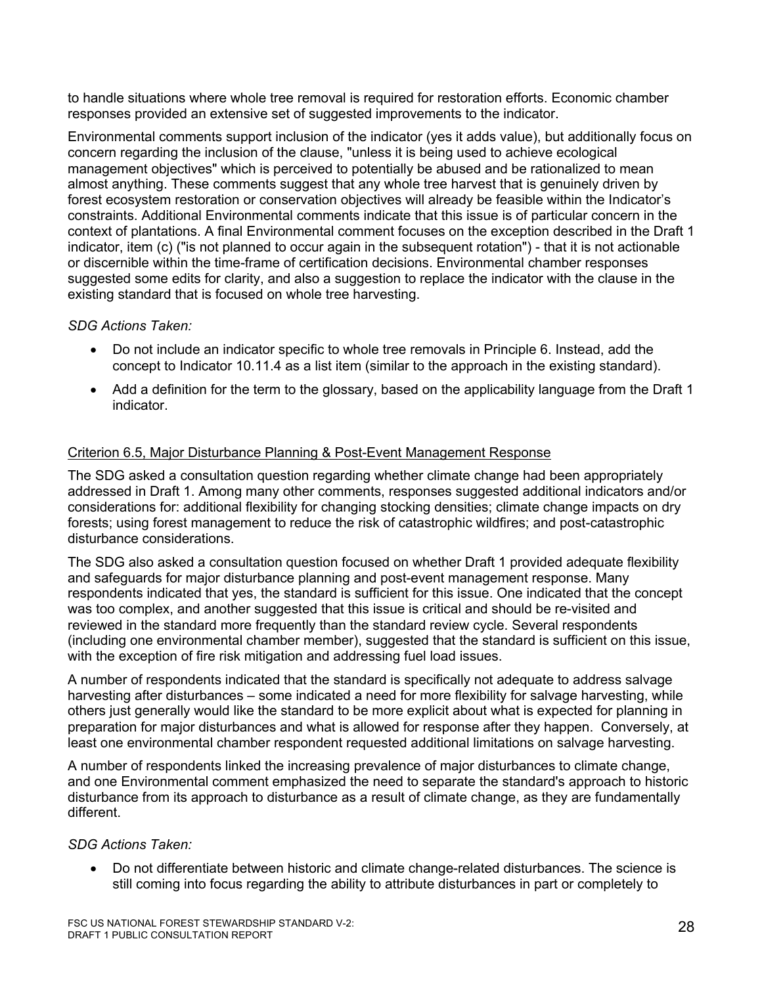to handle situations where whole tree removal is required for restoration efforts. Economic chamber responses provided an extensive set of suggested improvements to the indicator.

Environmental comments support inclusion of the indicator (yes it adds value), but additionally focus on concern regarding the inclusion of the clause, "unless it is being used to achieve ecological management objectives" which is perceived to potentially be abused and be rationalized to mean almost anything. These comments suggest that any whole tree harvest that is genuinely driven by forest ecosystem restoration or conservation objectives will already be feasible within the Indicator's constraints. Additional Environmental comments indicate that this issue is of particular concern in the context of plantations. A final Environmental comment focuses on the exception described in the Draft 1 indicator, item (c) ("is not planned to occur again in the subsequent rotation") - that it is not actionable or discernible within the time-frame of certification decisions. Environmental chamber responses suggested some edits for clarity, and also a suggestion to replace the indicator with the clause in the existing standard that is focused on whole tree harvesting.

## *SDG Actions Taken:*

- Do not include an indicator specific to whole tree removals in Principle 6. Instead, add the concept to Indicator 10.11.4 as a list item (similar to the approach in the existing standard).
- Add a definition for the term to the glossary, based on the applicability language from the Draft 1 indicator.

## Criterion 6.5, Major Disturbance Planning & Post-Event Management Response

The SDG asked a consultation question regarding whether climate change had been appropriately addressed in Draft 1. Among many other comments, responses suggested additional indicators and/or considerations for: additional flexibility for changing stocking densities; climate change impacts on dry forests; using forest management to reduce the risk of catastrophic wildfires; and post-catastrophic disturbance considerations.

The SDG also asked a consultation question focused on whether Draft 1 provided adequate flexibility and safeguards for major disturbance planning and post-event management response. Many respondents indicated that yes, the standard is sufficient for this issue. One indicated that the concept was too complex, and another suggested that this issue is critical and should be re-visited and reviewed in the standard more frequently than the standard review cycle. Several respondents (including one environmental chamber member), suggested that the standard is sufficient on this issue, with the exception of fire risk mitigation and addressing fuel load issues.

A number of respondents indicated that the standard is specifically not adequate to address salvage harvesting after disturbances – some indicated a need for more flexibility for salvage harvesting, while others just generally would like the standard to be more explicit about what is expected for planning in preparation for major disturbances and what is allowed for response after they happen. Conversely, at least one environmental chamber respondent requested additional limitations on salvage harvesting.

A number of respondents linked the increasing prevalence of major disturbances to climate change, and one Environmental comment emphasized the need to separate the standard's approach to historic disturbance from its approach to disturbance as a result of climate change, as they are fundamentally different.

## *SDG Actions Taken:*

• Do not differentiate between historic and climate change-related disturbances. The science is still coming into focus regarding the ability to attribute disturbances in part or completely to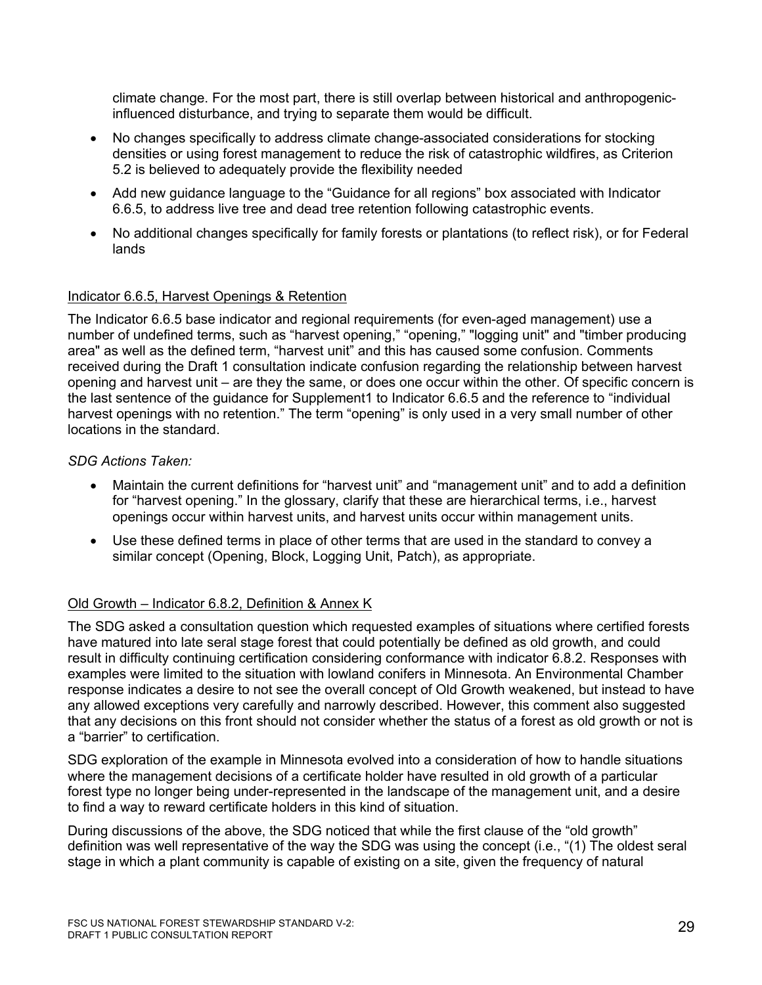climate change. For the most part, there is still overlap between historical and anthropogenicinfluenced disturbance, and trying to separate them would be difficult.

- No changes specifically to address climate change-associated considerations for stocking densities or using forest management to reduce the risk of catastrophic wildfires, as Criterion 5.2 is believed to adequately provide the flexibility needed
- Add new guidance language to the "Guidance for all regions" box associated with Indicator 6.6.5, to address live tree and dead tree retention following catastrophic events.
- No additional changes specifically for family forests or plantations (to reflect risk), or for Federal lands

## Indicator 6.6.5, Harvest Openings & Retention

The Indicator 6.6.5 base indicator and regional requirements (for even-aged management) use a number of undefined terms, such as "harvest opening," "opening," "logging unit" and "timber producing area" as well as the defined term, "harvest unit" and this has caused some confusion. Comments received during the Draft 1 consultation indicate confusion regarding the relationship between harvest opening and harvest unit – are they the same, or does one occur within the other. Of specific concern is the last sentence of the guidance for Supplement1 to Indicator 6.6.5 and the reference to "individual harvest openings with no retention." The term "opening" is only used in a very small number of other locations in the standard.

*SDG Actions Taken:*

- Maintain the current definitions for "harvest unit" and "management unit" and to add a definition for "harvest opening." In the glossary, clarify that these are hierarchical terms, i.e., harvest openings occur within harvest units, and harvest units occur within management units.
- Use these defined terms in place of other terms that are used in the standard to convey a similar concept (Opening, Block, Logging Unit, Patch), as appropriate.

## Old Growth – Indicator 6.8.2, Definition & Annex K

The SDG asked a consultation question which requested examples of situations where certified forests have matured into late seral stage forest that could potentially be defined as old growth, and could result in difficulty continuing certification considering conformance with indicator 6.8.2. Responses with examples were limited to the situation with lowland conifers in Minnesota. An Environmental Chamber response indicates a desire to not see the overall concept of Old Growth weakened, but instead to have any allowed exceptions very carefully and narrowly described. However, this comment also suggested that any decisions on this front should not consider whether the status of a forest as old growth or not is a "barrier" to certification.

SDG exploration of the example in Minnesota evolved into a consideration of how to handle situations where the management decisions of a certificate holder have resulted in old growth of a particular forest type no longer being under-represented in the landscape of the management unit, and a desire to find a way to reward certificate holders in this kind of situation.

During discussions of the above, the SDG noticed that while the first clause of the "old growth" definition was well representative of the way the SDG was using the concept (i.e., "(1) The oldest seral stage in which a plant community is capable of existing on a site, given the frequency of natural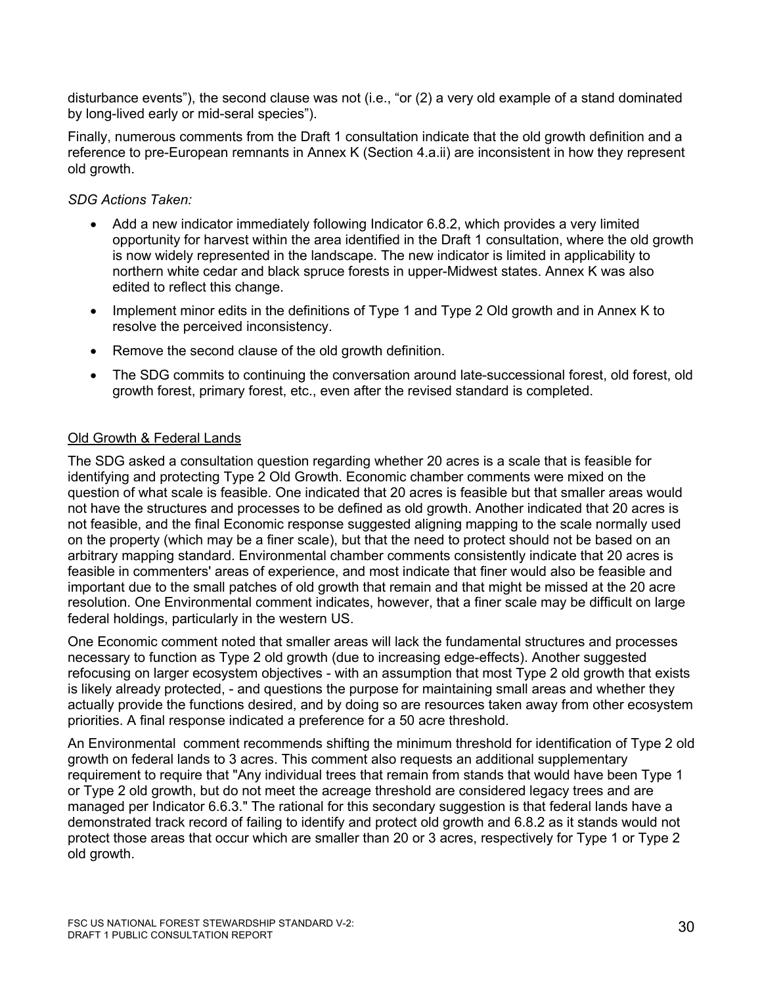disturbance events"), the second clause was not (i.e., "or (2) a very old example of a stand dominated by long-lived early or mid-seral species").

Finally, numerous comments from the Draft 1 consultation indicate that the old growth definition and a reference to pre-European remnants in Annex K (Section 4.a.ii) are inconsistent in how they represent old growth.

## *SDG Actions Taken:*

- Add a new indicator immediately following Indicator 6.8.2, which provides a very limited opportunity for harvest within the area identified in the Draft 1 consultation, where the old growth is now widely represented in the landscape. The new indicator is limited in applicability to northern white cedar and black spruce forests in upper-Midwest states. Annex K was also edited to reflect this change.
- Implement minor edits in the definitions of Type 1 and Type 2 Old growth and in Annex K to resolve the perceived inconsistency.
- Remove the second clause of the old growth definition.
- The SDG commits to continuing the conversation around late-successional forest, old forest, old growth forest, primary forest, etc., even after the revised standard is completed.

## Old Growth & Federal Lands

The SDG asked a consultation question regarding whether 20 acres is a scale that is feasible for identifying and protecting Type 2 Old Growth. Economic chamber comments were mixed on the question of what scale is feasible. One indicated that 20 acres is feasible but that smaller areas would not have the structures and processes to be defined as old growth. Another indicated that 20 acres is not feasible, and the final Economic response suggested aligning mapping to the scale normally used on the property (which may be a finer scale), but that the need to protect should not be based on an arbitrary mapping standard. Environmental chamber comments consistently indicate that 20 acres is feasible in commenters' areas of experience, and most indicate that finer would also be feasible and important due to the small patches of old growth that remain and that might be missed at the 20 acre resolution. One Environmental comment indicates, however, that a finer scale may be difficult on large federal holdings, particularly in the western US.

One Economic comment noted that smaller areas will lack the fundamental structures and processes necessary to function as Type 2 old growth (due to increasing edge-effects). Another suggested refocusing on larger ecosystem objectives - with an assumption that most Type 2 old growth that exists is likely already protected, - and questions the purpose for maintaining small areas and whether they actually provide the functions desired, and by doing so are resources taken away from other ecosystem priorities. A final response indicated a preference for a 50 acre threshold.

An Environmental comment recommends shifting the minimum threshold for identification of Type 2 old growth on federal lands to 3 acres. This comment also requests an additional supplementary requirement to require that "Any individual trees that remain from stands that would have been Type 1 or Type 2 old growth, but do not meet the acreage threshold are considered legacy trees and are managed per Indicator 6.6.3." The rational for this secondary suggestion is that federal lands have a demonstrated track record of failing to identify and protect old growth and 6.8.2 as it stands would not protect those areas that occur which are smaller than 20 or 3 acres, respectively for Type 1 or Type 2 old growth.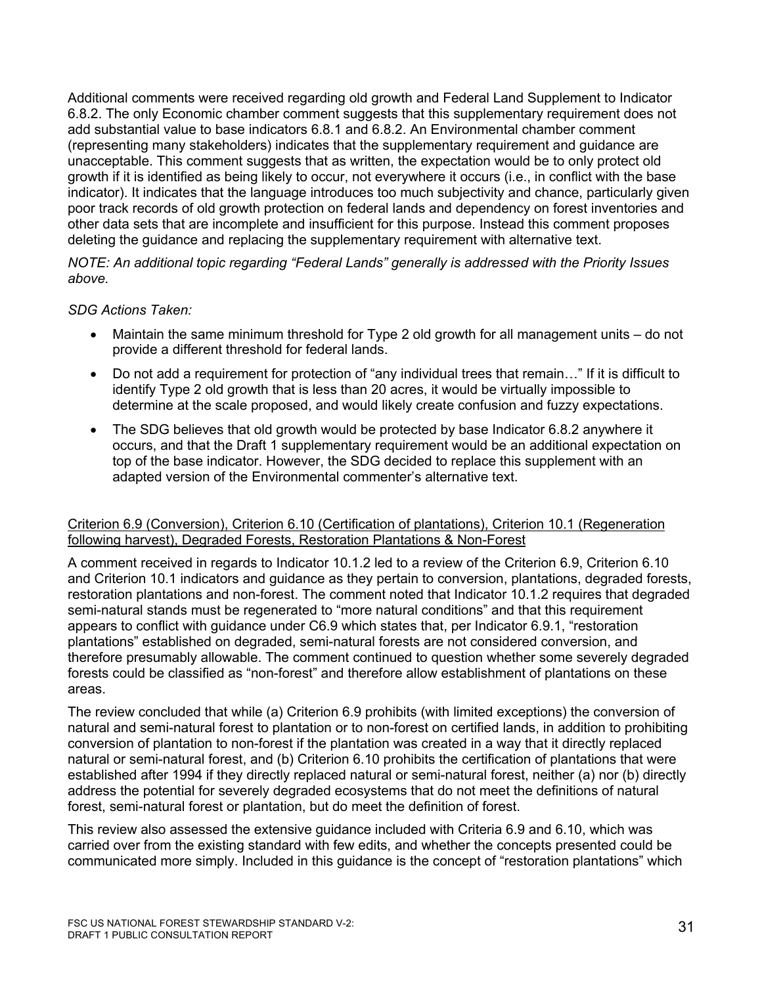Additional comments were received regarding old growth and Federal Land Supplement to Indicator 6.8.2. The only Economic chamber comment suggests that this supplementary requirement does not add substantial value to base indicators 6.8.1 and 6.8.2. An Environmental chamber comment (representing many stakeholders) indicates that the supplementary requirement and guidance are unacceptable. This comment suggests that as written, the expectation would be to only protect old growth if it is identified as being likely to occur, not everywhere it occurs (i.e., in conflict with the base indicator). It indicates that the language introduces too much subjectivity and chance, particularly given poor track records of old growth protection on federal lands and dependency on forest inventories and other data sets that are incomplete and insufficient for this purpose. Instead this comment proposes deleting the guidance and replacing the supplementary requirement with alternative text.

*NOTE: An additional topic regarding "Federal Lands" generally is addressed with the Priority Issues above.*

#### *SDG Actions Taken:*

- Maintain the same minimum threshold for Type 2 old growth for all management units do not provide a different threshold for federal lands.
- Do not add a requirement for protection of "any individual trees that remain..." If it is difficult to identify Type 2 old growth that is less than 20 acres, it would be virtually impossible to determine at the scale proposed, and would likely create confusion and fuzzy expectations.
- The SDG believes that old growth would be protected by base Indicator 6.8.2 anywhere it occurs, and that the Draft 1 supplementary requirement would be an additional expectation on top of the base indicator. However, the SDG decided to replace this supplement with an adapted version of the Environmental commenter's alternative text.

#### Criterion 6.9 (Conversion), Criterion 6.10 (Certification of plantations), Criterion 10.1 (Regeneration following harvest), Degraded Forests, Restoration Plantations & Non-Forest

A comment received in regards to Indicator 10.1.2 led to a review of the Criterion 6.9, Criterion 6.10 and Criterion 10.1 indicators and guidance as they pertain to conversion, plantations, degraded forests, restoration plantations and non-forest. The comment noted that Indicator 10.1.2 requires that degraded semi-natural stands must be regenerated to "more natural conditions" and that this requirement appears to conflict with guidance under C6.9 which states that, per Indicator 6.9.1, "restoration plantations" established on degraded, semi-natural forests are not considered conversion, and therefore presumably allowable. The comment continued to question whether some severely degraded forests could be classified as "non-forest" and therefore allow establishment of plantations on these areas.

The review concluded that while (a) Criterion 6.9 prohibits (with limited exceptions) the conversion of natural and semi-natural forest to plantation or to non-forest on certified lands, in addition to prohibiting conversion of plantation to non-forest if the plantation was created in a way that it directly replaced natural or semi-natural forest, and (b) Criterion 6.10 prohibits the certification of plantations that were established after 1994 if they directly replaced natural or semi-natural forest, neither (a) nor (b) directly address the potential for severely degraded ecosystems that do not meet the definitions of natural forest, semi-natural forest or plantation, but do meet the definition of forest.

This review also assessed the extensive guidance included with Criteria 6.9 and 6.10, which was carried over from the existing standard with few edits, and whether the concepts presented could be communicated more simply. Included in this guidance is the concept of "restoration plantations" which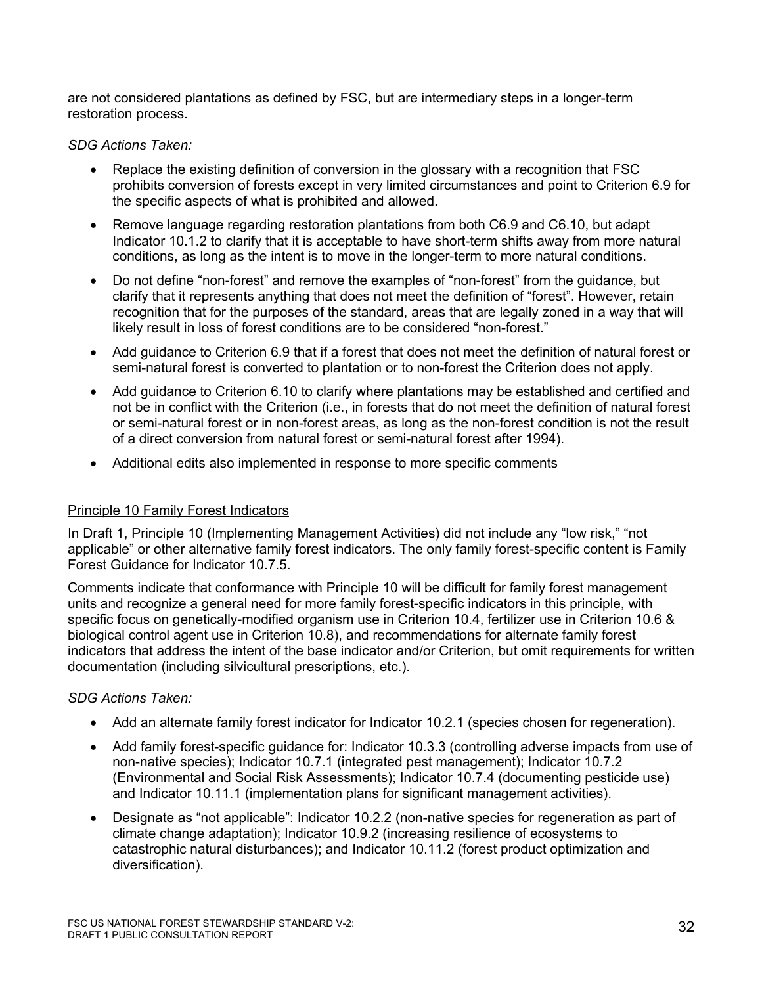are not considered plantations as defined by FSC, but are intermediary steps in a longer-term restoration process.

## *SDG Actions Taken:*

- Replace the existing definition of conversion in the glossary with a recognition that FSC prohibits conversion of forests except in very limited circumstances and point to Criterion 6.9 for the specific aspects of what is prohibited and allowed.
- Remove language regarding restoration plantations from both C6.9 and C6.10, but adapt Indicator 10.1.2 to clarify that it is acceptable to have short-term shifts away from more natural conditions, as long as the intent is to move in the longer-term to more natural conditions.
- Do not define "non-forest" and remove the examples of "non-forest" from the guidance, but clarify that it represents anything that does not meet the definition of "forest". However, retain recognition that for the purposes of the standard, areas that are legally zoned in a way that will likely result in loss of forest conditions are to be considered "non-forest."
- Add guidance to Criterion 6.9 that if a forest that does not meet the definition of natural forest or semi-natural forest is converted to plantation or to non-forest the Criterion does not apply.
- Add guidance to Criterion 6.10 to clarify where plantations may be established and certified and not be in conflict with the Criterion (i.e., in forests that do not meet the definition of natural forest or semi-natural forest or in non-forest areas, as long as the non-forest condition is not the result of a direct conversion from natural forest or semi-natural forest after 1994).
- Additional edits also implemented in response to more specific comments

## Principle 10 Family Forest Indicators

In Draft 1, Principle 10 (Implementing Management Activities) did not include any "low risk," "not applicable" or other alternative family forest indicators. The only family forest-specific content is Family Forest Guidance for Indicator 10.7.5.

Comments indicate that conformance with Principle 10 will be difficult for family forest management units and recognize a general need for more family forest-specific indicators in this principle, with specific focus on genetically-modified organism use in Criterion 10.4, fertilizer use in Criterion 10.6 & biological control agent use in Criterion 10.8), and recommendations for alternate family forest indicators that address the intent of the base indicator and/or Criterion, but omit requirements for written documentation (including silvicultural prescriptions, etc.).

- Add an alternate family forest indicator for Indicator 10.2.1 (species chosen for regeneration).
- Add family forest-specific guidance for: Indicator 10.3.3 (controlling adverse impacts from use of non-native species); Indicator 10.7.1 (integrated pest management); Indicator 10.7.2 (Environmental and Social Risk Assessments); Indicator 10.7.4 (documenting pesticide use) and Indicator 10.11.1 (implementation plans for significant management activities).
- Designate as "not applicable": Indicator 10.2.2 (non-native species for regeneration as part of climate change adaptation); Indicator 10.9.2 (increasing resilience of ecosystems to catastrophic natural disturbances); and Indicator 10.11.2 (forest product optimization and diversification).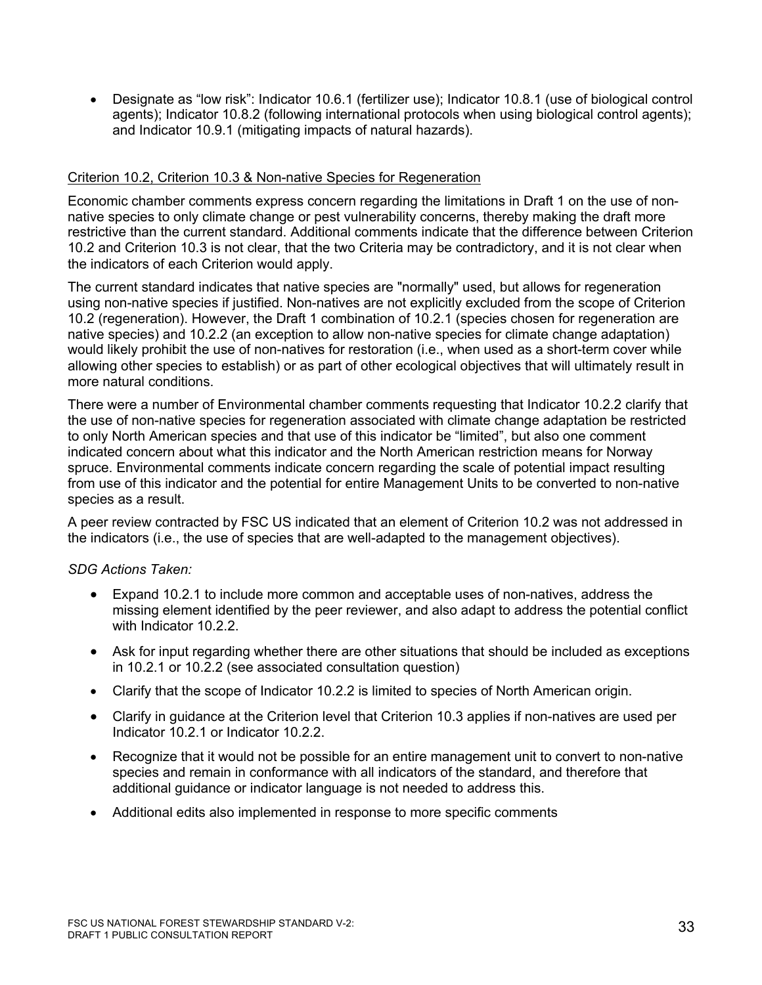• Designate as "low risk": Indicator 10.6.1 (fertilizer use); Indicator 10.8.1 (use of biological control agents); Indicator 10.8.2 (following international protocols when using biological control agents); and Indicator 10.9.1 (mitigating impacts of natural hazards).

#### Criterion 10.2, Criterion 10.3 & Non-native Species for Regeneration

Economic chamber comments express concern regarding the limitations in Draft 1 on the use of nonnative species to only climate change or pest vulnerability concerns, thereby making the draft more restrictive than the current standard. Additional comments indicate that the difference between Criterion 10.2 and Criterion 10.3 is not clear, that the two Criteria may be contradictory, and it is not clear when the indicators of each Criterion would apply.

The current standard indicates that native species are "normally" used, but allows for regeneration using non-native species if justified. Non-natives are not explicitly excluded from the scope of Criterion 10.2 (regeneration). However, the Draft 1 combination of 10.2.1 (species chosen for regeneration are native species) and 10.2.2 (an exception to allow non-native species for climate change adaptation) would likely prohibit the use of non-natives for restoration (i.e., when used as a short-term cover while allowing other species to establish) or as part of other ecological objectives that will ultimately result in more natural conditions.

There were a number of Environmental chamber comments requesting that Indicator 10.2.2 clarify that the use of non-native species for regeneration associated with climate change adaptation be restricted to only North American species and that use of this indicator be "limited", but also one comment indicated concern about what this indicator and the North American restriction means for Norway spruce. Environmental comments indicate concern regarding the scale of potential impact resulting from use of this indicator and the potential for entire Management Units to be converted to non-native species as a result.

A peer review contracted by FSC US indicated that an element of Criterion 10.2 was not addressed in the indicators (i.e., the use of species that are well-adapted to the management objectives).

- Expand 10.2.1 to include more common and acceptable uses of non-natives, address the missing element identified by the peer reviewer, and also adapt to address the potential conflict with Indicator 10.2.2
- Ask for input regarding whether there are other situations that should be included as exceptions in 10.2.1 or 10.2.2 (see associated consultation question)
- Clarify that the scope of Indicator 10.2.2 is limited to species of North American origin.
- Clarify in guidance at the Criterion level that Criterion 10.3 applies if non-natives are used per Indicator 10.2.1 or Indicator 10.2.2.
- Recognize that it would not be possible for an entire management unit to convert to non-native species and remain in conformance with all indicators of the standard, and therefore that additional guidance or indicator language is not needed to address this.
- Additional edits also implemented in response to more specific comments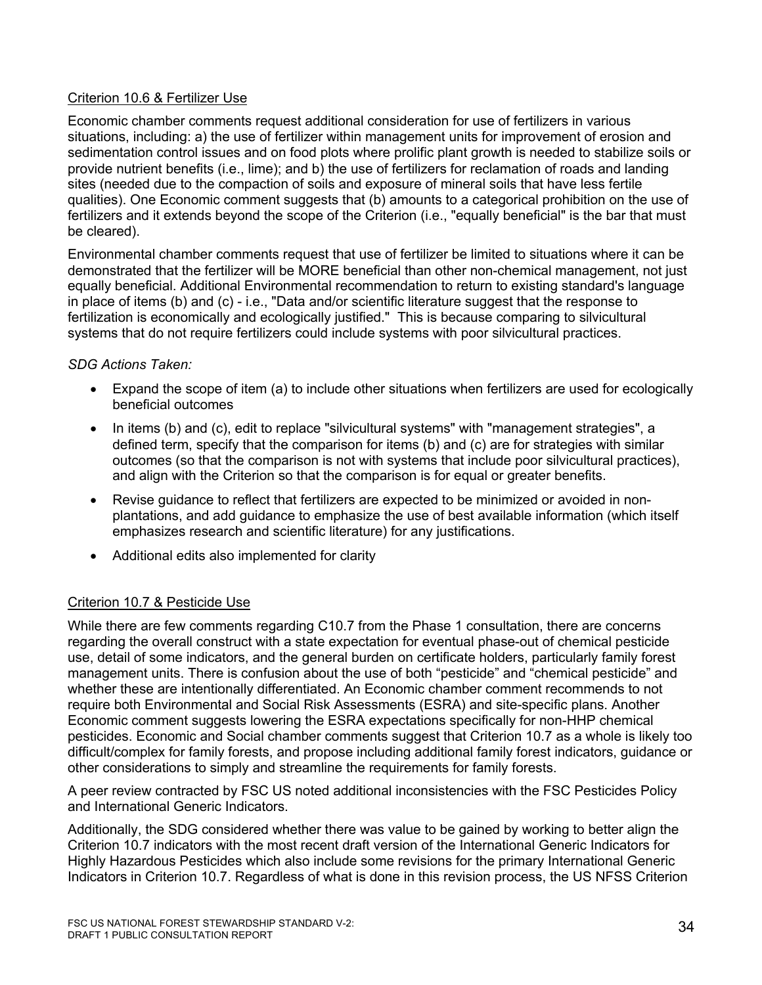## Criterion 10.6 & Fertilizer Use

Economic chamber comments request additional consideration for use of fertilizers in various situations, including: a) the use of fertilizer within management units for improvement of erosion and sedimentation control issues and on food plots where prolific plant growth is needed to stabilize soils or provide nutrient benefits (i.e., lime); and b) the use of fertilizers for reclamation of roads and landing sites (needed due to the compaction of soils and exposure of mineral soils that have less fertile qualities). One Economic comment suggests that (b) amounts to a categorical prohibition on the use of fertilizers and it extends beyond the scope of the Criterion (i.e., "equally beneficial" is the bar that must be cleared).

Environmental chamber comments request that use of fertilizer be limited to situations where it can be demonstrated that the fertilizer will be MORE beneficial than other non-chemical management, not just equally beneficial. Additional Environmental recommendation to return to existing standard's language in place of items (b) and (c) - i.e., "Data and/or scientific literature suggest that the response to fertilization is economically and ecologically justified." This is because comparing to silvicultural systems that do not require fertilizers could include systems with poor silvicultural practices.

## *SDG Actions Taken:*

- Expand the scope of item (a) to include other situations when fertilizers are used for ecologically beneficial outcomes
- In items (b) and (c), edit to replace "silvicultural systems" with "management strategies", a defined term, specify that the comparison for items (b) and (c) are for strategies with similar outcomes (so that the comparison is not with systems that include poor silvicultural practices), and align with the Criterion so that the comparison is for equal or greater benefits.
- Revise guidance to reflect that fertilizers are expected to be minimized or avoided in nonplantations, and add guidance to emphasize the use of best available information (which itself emphasizes research and scientific literature) for any justifications.
- Additional edits also implemented for clarity

## Criterion 10.7 & Pesticide Use

While there are few comments regarding C10.7 from the Phase 1 consultation, there are concerns regarding the overall construct with a state expectation for eventual phase-out of chemical pesticide use, detail of some indicators, and the general burden on certificate holders, particularly family forest management units. There is confusion about the use of both "pesticide" and "chemical pesticide" and whether these are intentionally differentiated. An Economic chamber comment recommends to not require both Environmental and Social Risk Assessments (ESRA) and site-specific plans. Another Economic comment suggests lowering the ESRA expectations specifically for non-HHP chemical pesticides. Economic and Social chamber comments suggest that Criterion 10.7 as a whole is likely too difficult/complex for family forests, and propose including additional family forest indicators, guidance or other considerations to simply and streamline the requirements for family forests.

A peer review contracted by FSC US noted additional inconsistencies with the FSC Pesticides Policy and International Generic Indicators.

Additionally, the SDG considered whether there was value to be gained by working to better align the Criterion 10.7 indicators with the most recent draft version of the International Generic Indicators for Highly Hazardous Pesticides which also include some revisions for the primary International Generic Indicators in Criterion 10.7. Regardless of what is done in this revision process, the US NFSS Criterion